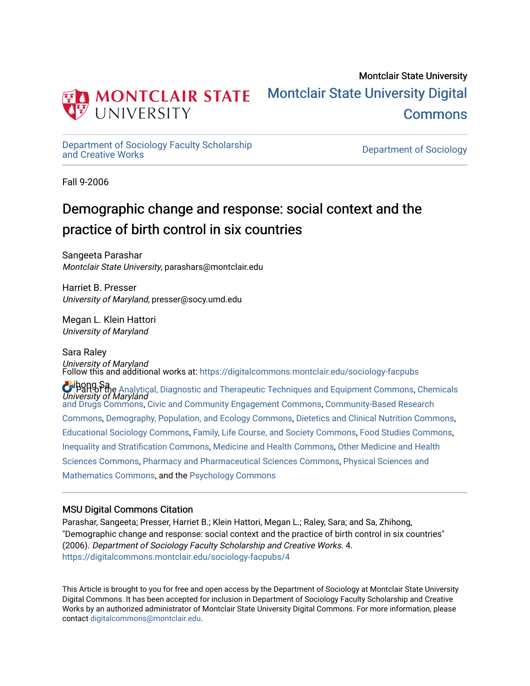

## Montclair State University [Montclair State University Digital](https://digitalcommons.montclair.edu/)  [Commons](https://digitalcommons.montclair.edu/)

[Department of Sociology Faculty Scholarship](https://digitalcommons.montclair.edu/sociology-facpubs)

Department of Sociology

Fall 9-2006

# Demographic change and response: social context and the practice of birth control in six countries

Sangeeta Parashar Montclair State University, parashars@montclair.edu

Harriet B. Presser University of Maryland, presser@socy.umd.edu

Megan L. Klein Hattori University of Maryland

Sara Raley University of Maryland Follow this and additional works at: [https://digitalcommons.montclair.edu/sociology-facpubs](https://digitalcommons.montclair.edu/sociology-facpubs?utm_source=digitalcommons.montclair.edu%2Fsociology-facpubs%2F4&utm_medium=PDF&utm_campaign=PDFCoverPages)

Zhibong Sa U Part of the [Analytical, Diagnostic and Therapeutic Techniques and Equipment Commons](http://network.bepress.com/hgg/discipline/899?utm_source=digitalcommons.montclair.edu%2Fsociology-facpubs%2F4&utm_medium=PDF&utm_campaign=PDFCoverPages), [Chemicals](http://network.bepress.com/hgg/discipline/902?utm_source=digitalcommons.montclair.edu%2Fsociology-facpubs%2F4&utm_medium=PDF&utm_campaign=PDFCoverPages)<br>University of Maryland [and Drugs Commons,](http://network.bepress.com/hgg/discipline/902?utm_source=digitalcommons.montclair.edu%2Fsociology-facpubs%2F4&utm_medium=PDF&utm_campaign=PDFCoverPages) [Civic and Community Engagement Commons,](http://network.bepress.com/hgg/discipline/1028?utm_source=digitalcommons.montclair.edu%2Fsociology-facpubs%2F4&utm_medium=PDF&utm_campaign=PDFCoverPages) [Community-Based Research](http://network.bepress.com/hgg/discipline/1047?utm_source=digitalcommons.montclair.edu%2Fsociology-facpubs%2F4&utm_medium=PDF&utm_campaign=PDFCoverPages)  [Commons](http://network.bepress.com/hgg/discipline/1047?utm_source=digitalcommons.montclair.edu%2Fsociology-facpubs%2F4&utm_medium=PDF&utm_campaign=PDFCoverPages), [Demography, Population, and Ecology Commons,](http://network.bepress.com/hgg/discipline/418?utm_source=digitalcommons.montclair.edu%2Fsociology-facpubs%2F4&utm_medium=PDF&utm_campaign=PDFCoverPages) [Dietetics and Clinical Nutrition Commons,](http://network.bepress.com/hgg/discipline/662?utm_source=digitalcommons.montclair.edu%2Fsociology-facpubs%2F4&utm_medium=PDF&utm_campaign=PDFCoverPages) [Educational Sociology Commons,](http://network.bepress.com/hgg/discipline/1071?utm_source=digitalcommons.montclair.edu%2Fsociology-facpubs%2F4&utm_medium=PDF&utm_campaign=PDFCoverPages) [Family, Life Course, and Society Commons](http://network.bepress.com/hgg/discipline/419?utm_source=digitalcommons.montclair.edu%2Fsociology-facpubs%2F4&utm_medium=PDF&utm_campaign=PDFCoverPages), [Food Studies Commons,](http://network.bepress.com/hgg/discipline/1386?utm_source=digitalcommons.montclair.edu%2Fsociology-facpubs%2F4&utm_medium=PDF&utm_campaign=PDFCoverPages) [Inequality and Stratification Commons,](http://network.bepress.com/hgg/discipline/421?utm_source=digitalcommons.montclair.edu%2Fsociology-facpubs%2F4&utm_medium=PDF&utm_campaign=PDFCoverPages) [Medicine and Health Commons](http://network.bepress.com/hgg/discipline/422?utm_source=digitalcommons.montclair.edu%2Fsociology-facpubs%2F4&utm_medium=PDF&utm_campaign=PDFCoverPages), [Other Medicine and Health](http://network.bepress.com/hgg/discipline/772?utm_source=digitalcommons.montclair.edu%2Fsociology-facpubs%2F4&utm_medium=PDF&utm_campaign=PDFCoverPages) [Sciences Commons,](http://network.bepress.com/hgg/discipline/772?utm_source=digitalcommons.montclair.edu%2Fsociology-facpubs%2F4&utm_medium=PDF&utm_campaign=PDFCoverPages) [Pharmacy and Pharmaceutical Sciences Commons](http://network.bepress.com/hgg/discipline/731?utm_source=digitalcommons.montclair.edu%2Fsociology-facpubs%2F4&utm_medium=PDF&utm_campaign=PDFCoverPages), [Physical Sciences and](http://network.bepress.com/hgg/discipline/114?utm_source=digitalcommons.montclair.edu%2Fsociology-facpubs%2F4&utm_medium=PDF&utm_campaign=PDFCoverPages)  [Mathematics Commons](http://network.bepress.com/hgg/discipline/114?utm_source=digitalcommons.montclair.edu%2Fsociology-facpubs%2F4&utm_medium=PDF&utm_campaign=PDFCoverPages), and the [Psychology Commons](http://network.bepress.com/hgg/discipline/404?utm_source=digitalcommons.montclair.edu%2Fsociology-facpubs%2F4&utm_medium=PDF&utm_campaign=PDFCoverPages) 

## MSU Digital Commons Citation

Parashar, Sangeeta; Presser, Harriet B.; Klein Hattori, Megan L.; Raley, Sara; and Sa, Zhihong, "Demographic change and response: social context and the practice of birth control in six countries" (2006). Department of Sociology Faculty Scholarship and Creative Works. 4. [https://digitalcommons.montclair.edu/sociology-facpubs/4](https://digitalcommons.montclair.edu/sociology-facpubs/4?utm_source=digitalcommons.montclair.edu%2Fsociology-facpubs%2F4&utm_medium=PDF&utm_campaign=PDFCoverPages) 

This Article is brought to you for free and open access by the Department of Sociology at Montclair State University Digital Commons. It has been accepted for inclusion in Department of Sociology Faculty Scholarship and Creative Works by an authorized administrator of Montclair State University Digital Commons. For more information, please contact [digitalcommons@montclair.edu](mailto:digitalcommons@montclair.edu).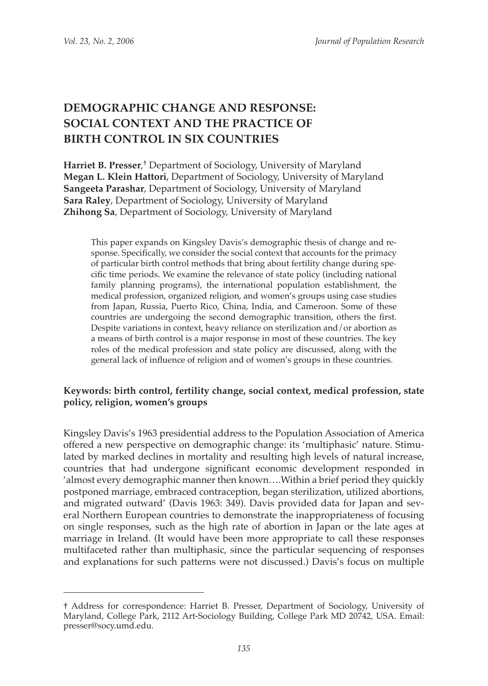## **DEMOGRAPHIC CHANGE AND RESPONSE: SOCIAL CONTEXT AND THE PRACTICE OF BIRTH CONTROL IN SIX COUNTRIES**

**Harriet B. Presser**, † Department of Sociology, University of Maryland **Megan L. Klein Hattori**, Department of Sociology, University of Maryland **Sangeeta Parashar**, Department of Sociology, University of Maryland **Sara Raley**, Department of Sociology, University of Maryland **Zhihong Sa**, Department of Sociology, University of Maryland

This paper expands on Kingsley Davis's demographic thesis of change and response. Specifically, we consider the social context that accounts for the primacy of particular birth control methods that bring about fertility change during specific time periods. We examine the relevance of state policy (including national family planning programs), the international population establishment, the medical profession, organized religion, and women's groups using case studies from Japan, Russia, Puerto Rico, China, India, and Cameroon. Some of these countries are undergoing the second demographic transition, others the first. Despite variations in context, heavy reliance on sterilization and/or abortion as a means of birth control is a major response in most of these countries. The key roles of the medical profession and state policy are discussed, along with the general lack of influence of religion and of women's groups in these countries.

## **Keywords: birth control, fertility change, social context, medical profession, state policy, religion, women's groups**

Kingsley Davis's 1963 presidential address to the Population Association of America offered a new perspective on demographic change: its 'multiphasic' nature. Stimulated by marked declines in mortality and resulting high levels of natural increase, countries that had undergone significant economic development responded in 'almost every demographic manner then known….Within a brief period they quickly postponed marriage, embraced contraception, began sterilization, utilized abortions, and migrated outward' (Davis 1963: 349). Davis provided data for Japan and several Northern European countries to demonstrate the inappropriateness of focusing on single responses, such as the high rate of abortion in Japan or the late ages at marriage in Ireland. (It would have been more appropriate to call these responses multifaceted rather than multiphasic, since the particular sequencing of responses and explanations for such patterns were not discussed.) Davis's focus on multiple

<sup>†</sup> Address for correspondence: Harriet B. Presser, Department of Sociology, University of Maryland, College Park, 2112 Art-Sociology Building, College Park MD 20742, USA. Email: presser@socy.umd.edu.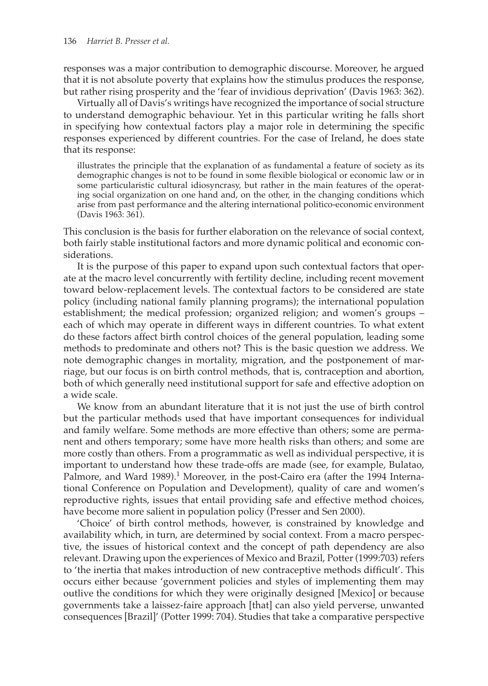responses was a major contribution to demographic discourse. Moreover, he argued that it is not absolute poverty that explains how the stimulus produces the response, but rather rising prosperity and the 'fear of invidious deprivation' (Davis 1963: 362).

Virtually all of Davis's writings have recognized the importance of social structure to understand demographic behaviour. Yet in this particular writing he falls short in specifying how contextual factors play a major role in determining the specific responses experienced by different countries. For the case of Ireland, he does state that its response:

illustrates the principle that the explanation of as fundamental a feature of society as its demographic changes is not to be found in some flexible biological or economic law or in some particularistic cultural idiosyncrasy, but rather in the main features of the operating social organization on one hand and, on the other, in the changing conditions which arise from past performance and the altering international politico-economic environment (Davis 1963: 361).

This conclusion is the basis for further elaboration on the relevance of social context, both fairly stable institutional factors and more dynamic political and economic considerations.

It is the purpose of this paper to expand upon such contextual factors that operate at the macro level concurrently with fertility decline, including recent movement toward below-replacement levels. The contextual factors to be considered are state policy (including national family planning programs); the international population establishment; the medical profession; organized religion; and women's groups – each of which may operate in different ways in different countries. To what extent do these factors affect birth control choices of the general population, leading some methods to predominate and others not? This is the basic question we address. We note demographic changes in mortality, migration, and the postponement of marriage, but our focus is on birth control methods, that is, contraception and abortion, both of which generally need institutional support for safe and effective adoption on a wide scale.

We know from an abundant literature that it is not just the use of birth control but the particular methods used that have important consequences for individual and family welfare. Some methods are more effective than others; some are permanent and others temporary; some have more health risks than others; and some are more costly than others. From a programmatic as well as individual perspective, it is important to understand how these trade-offs are made (see, for example, Bulatao, Palmore, and Ward 1989). 1 Moreover, in the post-Cairo era (after the 1994 International Conference on Population and Development), quality of care and women's reproductive rights, issues that entail providing safe and effective method choices, have become more salient in population policy (Presser and Sen 2000).

'Choice' of birth control methods, however, is constrained by knowledge and availability which, in turn, are determined by social context. From a macro perspective, the issues of historical context and the concept of path dependency are also relevant. Drawing upon the experiences of Mexico and Brazil, Potter (1999:703) refers to 'the inertia that makes introduction of new contraceptive methods difficult'. This occurs either because 'government policies and styles of implementing them may outlive the conditions for which they were originally designed [Mexico] or because governments take a laissez-faire approach [that] can also yield perverse, unwanted consequences [Brazil]' (Potter 1999: 704). Studies that take a comparative perspective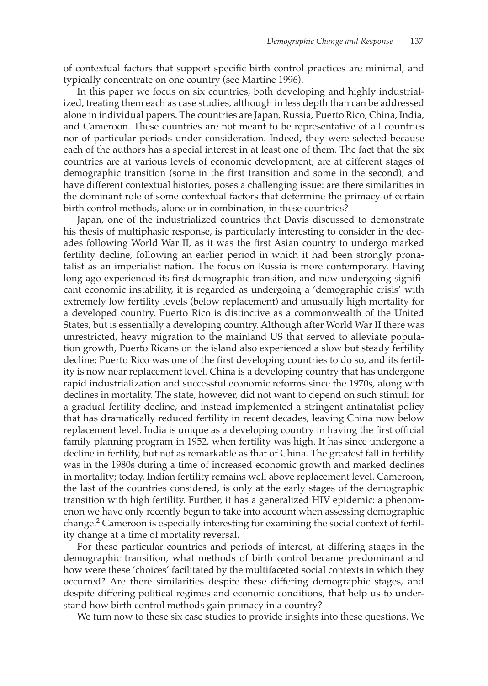of contextual factors that support specific birth control practices are minimal, and typically concentrate on one country (see Martine 1996).

In this paper we focus on six countries, both developing and highly industrialized, treating them each as case studies, although in less depth than can be addressed alone in individual papers. The countries are Japan, Russia, Puerto Rico, China, India, and Cameroon. These countries are not meant to be representative of all countries nor of particular periods under consideration. Indeed, they were selected because each of the authors has a special interest in at least one of them. The fact that the six countries are at various levels of economic development, are at different stages of demographic transition (some in the first transition and some in the second), and have different contextual histories, poses a challenging issue: are there similarities in the dominant role of some contextual factors that determine the primacy of certain birth control methods, alone or in combination, in these countries?

Japan, one of the industrialized countries that Davis discussed to demonstrate his thesis of multiphasic response, is particularly interesting to consider in the decades following World War II, as it was the first Asian country to undergo marked fertility decline, following an earlier period in which it had been strongly pronatalist as an imperialist nation. The focus on Russia is more contemporary. Having long ago experienced its first demographic transition, and now undergoing significant economic instability, it is regarded as undergoing a 'demographic crisis' with extremely low fertility levels (below replacement) and unusually high mortality for a developed country. Puerto Rico is distinctive as a commonwealth of the United States, but is essentially a developing country. Although after World War II there was unrestricted, heavy migration to the mainland US that served to alleviate population growth, Puerto Ricans on the island also experienced a slow but steady fertility decline; Puerto Rico was one of the first developing countries to do so, and its fertility is now near replacement level. China is a developing country that has undergone rapid industrialization and successful economic reforms since the 1970s, along with declines in mortality. The state, however, did not want to depend on such stimuli for a gradual fertility decline, and instead implemented a stringent antinatalist policy that has dramatically reduced fertility in recent decades, leaving China now below replacement level. India is unique as a developing country in having the first official family planning program in 1952, when fertility was high. It has since undergone a decline in fertility, but not as remarkable as that of China. The greatest fall in fertility was in the 1980s during a time of increased economic growth and marked declines in mortality; today, Indian fertility remains well above replacement level. Cameroon, the last of the countries considered, is only at the early stages of the demographic transition with high fertility. Further, it has a generalized HIV epidemic: a phenomenon we have only recently begun to take into account when assessing demographic change.2 Cameroon is especially interesting for examining the social context of fertility change at a time of mortality reversal.

For these particular countries and periods of interest, at differing stages in the demographic transition, what methods of birth control became predominant and how were these 'choices' facilitated by the multifaceted social contexts in which they occurred? Are there similarities despite these differing demographic stages, and despite differing political regimes and economic conditions, that help us to understand how birth control methods gain primacy in a country?

We turn now to these six case studies to provide insights into these questions. We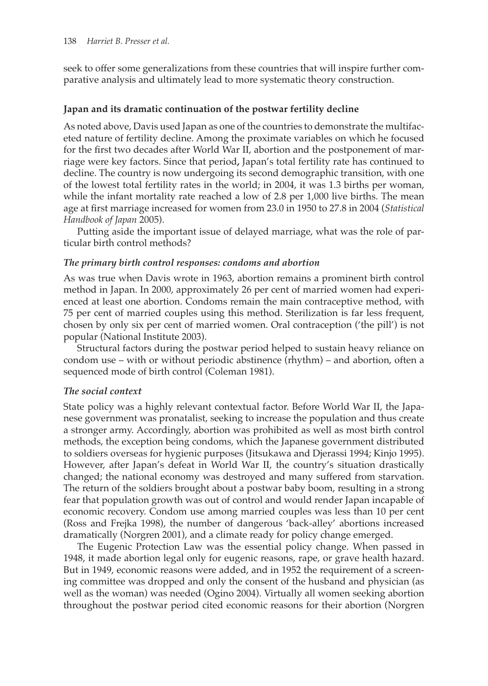seek to offer some generalizations from these countries that will inspire further comparative analysis and ultimately lead to more systematic theory construction.

### **Japan and its dramatic continuation of the postwar fertility decline**

As noted above, Davis used Japan as one of the countries to demonstrate the multifaceted nature of fertility decline. Among the proximate variables on which he focused for the first two decades after World War II, abortion and the postponement of marriage were key factors. Since that period**,** Japan's total fertility rate has continued to decline. The country is now undergoing its second demographic transition, with one of the lowest total fertility rates in the world; in 2004, it was 1.3 births per woman, while the infant mortality rate reached a low of 2.8 per 1,000 live births. The mean age at first marriage increased for women from 23.0 in 1950 to 27.8 in 2004 (*Statistical Handbook of Japan* 2005).

Putting aside the important issue of delayed marriage, what was the role of particular birth control methods?

#### *The primary birth control responses: condoms and abortion*

As was true when Davis wrote in 1963, abortion remains a prominent birth control method in Japan. In 2000, approximately 26 per cent of married women had experienced at least one abortion. Condoms remain the main contraceptive method, with 75 per cent of married couples using this method. Sterilization is far less frequent, chosen by only six per cent of married women. Oral contraception ('the pill') is not popular (National Institute 2003).

Structural factors during the postwar period helped to sustain heavy reliance on condom use – with or without periodic abstinence (rhythm) – and abortion, often a sequenced mode of birth control (Coleman 1981).

## *The social context*

State policy was a highly relevant contextual factor. Before World War II, the Japanese government was pronatalist, seeking to increase the population and thus create a stronger army. Accordingly, abortion was prohibited as well as most birth control methods, the exception being condoms, which the Japanese government distributed to soldiers overseas for hygienic purposes (Jitsukawa and Djerassi 1994; Kinjo 1995). However, after Japan's defeat in World War II, the country's situation drastically changed; the national economy was destroyed and many suffered from starvation. The return of the soldiers brought about a postwar baby boom, resulting in a strong fear that population growth was out of control and would render Japan incapable of economic recovery. Condom use among married couples was less than 10 per cent (Ross and Frejka 1998), the number of dangerous 'back-alley' abortions increased dramatically (Norgren 2001), and a climate ready for policy change emerged.

The Eugenic Protection Law was the essential policy change. When passed in 1948, it made abortion legal only for eugenic reasons, rape, or grave health hazard. But in 1949, economic reasons were added, and in 1952 the requirement of a screening committee was dropped and only the consent of the husband and physician (as well as the woman) was needed (Ogino 2004). Virtually all women seeking abortion throughout the postwar period cited economic reasons for their abortion (Norgren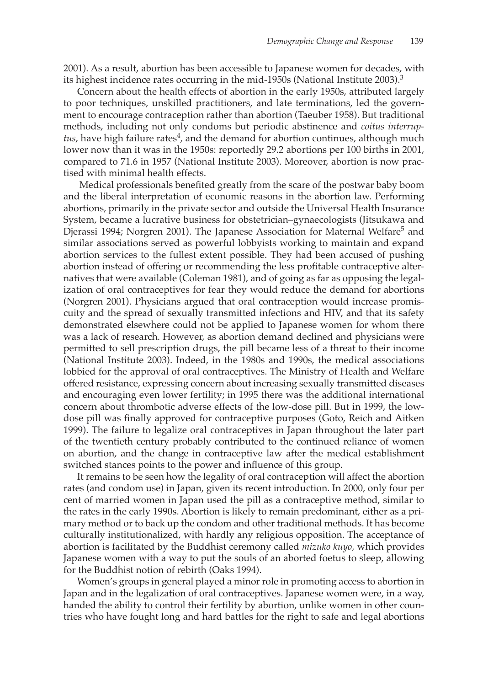2001). As a result, abortion has been accessible to Japanese women for decades, with its highest incidence rates occurring in the mid-1950s (National Institute 2003). 3

Concern about the health effects of abortion in the early 1950s, attributed largely to poor techniques, unskilled practitioners, and late terminations, led the government to encourage contraception rather than abortion (Taeuber 1958). But traditional methods, including not only condoms but periodic abstinence and *coitus interruptus*, have high failure rates<sup>4</sup>, and the demand for abortion continues, although much lower now than it was in the 1950s: reportedly 29.2 abortions per 100 births in 2001, compared to 71.6 in 1957 (National Institute 2003). Moreover, abortion is now practised with minimal health effects.

 Medical professionals benefited greatly from the scare of the postwar baby boom and the liberal interpretation of economic reasons in the abortion law. Performing abortions, primarily in the private sector and outside the Universal Health Insurance System, became a lucrative business for obstetrician–gynaecologists (Jitsukawa and Djerassi 1994; Norgren 2001). The Japanese Association for Maternal Welfare<sup>5</sup> and similar associations served as powerful lobbyists working to maintain and expand abortion services to the fullest extent possible. They had been accused of pushing abortion instead of offering or recommending the less profitable contraceptive alternatives that were available (Coleman 1981), and of going as far as opposing the legalization of oral contraceptives for fear they would reduce the demand for abortions (Norgren 2001). Physicians argued that oral contraception would increase promiscuity and the spread of sexually transmitted infections and HIV, and that its safety demonstrated elsewhere could not be applied to Japanese women for whom there was a lack of research. However, as abortion demand declined and physicians were permitted to sell prescription drugs, the pill became less of a threat to their income (National Institute 2003). Indeed, in the 1980s and 1990s, the medical associations lobbied for the approval of oral contraceptives. The Ministry of Health and Welfare offered resistance, expressing concern about increasing sexually transmitted diseases and encouraging even lower fertility; in 1995 there was the additional international concern about thrombotic adverse effects of the low-dose pill. But in 1999, the lowdose pill was finally approved for contraceptive purposes (Goto, Reich and Aitken 1999). The failure to legalize oral contraceptives in Japan throughout the later part of the twentieth century probably contributed to the continued reliance of women on abortion, and the change in contraceptive law after the medical establishment switched stances points to the power and influence of this group.

It remains to be seen how the legality of oral contraception will affect the abortion rates (and condom use) in Japan, given its recent introduction. In 2000, only four per cent of married women in Japan used the pill as a contraceptive method, similar to the rates in the early 1990s. Abortion is likely to remain predominant, either as a primary method or to back up the condom and other traditional methods. It has become culturally institutionalized, with hardly any religious opposition. The acceptance of abortion is facilitated by the Buddhist ceremony called *mizuko kuyo,* which provides Japanese women with a way to put the souls of an aborted foetus to sleep, allowing for the Buddhist notion of rebirth (Oaks 1994).

Women's groups in general played a minor role in promoting access to abortion in Japan and in the legalization of oral contraceptives. Japanese women were, in a way, handed the ability to control their fertility by abortion, unlike women in other countries who have fought long and hard battles for the right to safe and legal abortions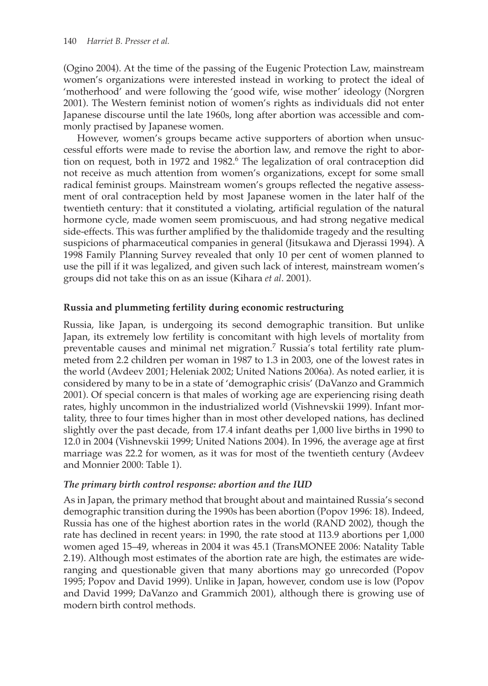(Ogino 2004). At the time of the passing of the Eugenic Protection Law, mainstream women's organizations were interested instead in working to protect the ideal of 'motherhood' and were following the 'good wife, wise mother' ideology (Norgren 2001). The Western feminist notion of women's rights as individuals did not enter Japanese discourse until the late 1960s, long after abortion was accessible and commonly practised by Japanese women.

However, women's groups became active supporters of abortion when unsuccessful efforts were made to revise the abortion law, and remove the right to abortion on request, both in 1972 and 1982.<sup>6</sup> The legalization of oral contraception did not receive as much attention from women's organizations, except for some small radical feminist groups. Mainstream women's groups reflected the negative assessment of oral contraception held by most Japanese women in the later half of the twentieth century: that it constituted a violating, artificial regulation of the natural hormone cycle, made women seem promiscuous, and had strong negative medical side-effects. This was further amplified by the thalidomide tragedy and the resulting suspicions of pharmaceutical companies in general (Jitsukawa and Djerassi 1994). A 1998 Family Planning Survey revealed that only 10 per cent of women planned to use the pill if it was legalized, and given such lack of interest, mainstream women's groups did not take this on as an issue (Kihara *et al*. 2001).

## **Russia and plummeting fertility during economic restructuring**

Russia, like Japan, is undergoing its second demographic transition. But unlike Japan, its extremely low fertility is concomitant with high levels of mortality from preventable causes and minimal net migration. 7 Russia's total fertility rate plummeted from 2.2 children per woman in 1987 to 1.3 in 2003, one of the lowest rates in the world (Avdeev 2001; Heleniak 2002; United Nations 2006a). As noted earlier, it is considered by many to be in a state of 'demographic crisis' (DaVanzo and Grammich 2001). Of special concern is that males of working age are experiencing rising death rates, highly uncommon in the industrialized world (Vishnevskii 1999). Infant mortality, three to four times higher than in most other developed nations, has declined slightly over the past decade, from 17.4 infant deaths per 1,000 live births in 1990 to 12.0 in 2004 (Vishnevskii 1999; United Nations 2004). In 1996, the average age at first marriage was 22.2 for women, as it was for most of the twentieth century (Avdeev and Monnier 2000: Table 1).

## *The primary birth control response: abortion and the IUD*

As in Japan, the primary method that brought about and maintained Russia's second demographic transition during the 1990s has been abortion (Popov 1996: 18). Indeed, Russia has one of the highest abortion rates in the world (RAND 2002), though the rate has declined in recent years: in 1990, the rate stood at 113.9 abortions per 1,000 women aged 15–49, whereas in 2004 it was 45.1 (TransMONEE 2006: Natality Table 2.19). Although most estimates of the abortion rate are high, the estimates are wideranging and questionable given that many abortions may go unrecorded (Popov 1995; Popov and David 1999). Unlike in Japan, however, condom use is low (Popov and David 1999; DaVanzo and Grammich 2001), although there is growing use of modern birth control methods.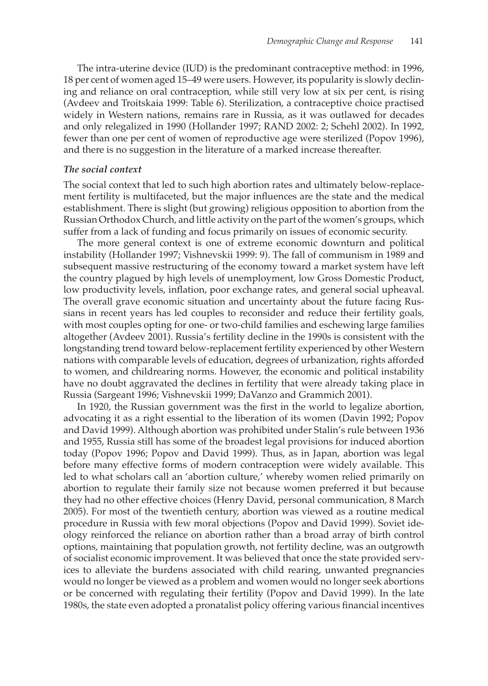The intra-uterine device (IUD) is the predominant contraceptive method: in 1996, 18 per cent of women aged 15–49 were users. However, its popularity is slowly declining and reliance on oral contraception, while still very low at six per cent, is rising (Avdeev and Troitskaia 1999: Table 6). Sterilization, a contraceptive choice practised widely in Western nations, remains rare in Russia, as it was outlawed for decades and only relegalized in 1990 (Hollander 1997; RAND 2002: 2; Schehl 2002). In 1992, fewer than one per cent of women of reproductive age were sterilized (Popov 1996), and there is no suggestion in the literature of a marked increase thereafter.

#### *The social context*

The social context that led to such high abortion rates and ultimately below-replacement fertility is multifaceted, but the major influences are the state and the medical establishment. There is slight (but growing) religious opposition to abortion from the Russian Orthodox Church, and little activity on the part of the women's groups, which suffer from a lack of funding and focus primarily on issues of economic security.

The more general context is one of extreme economic downturn and political instability (Hollander 1997; Vishnevskii 1999: 9). The fall of communism in 1989 and subsequent massive restructuring of the economy toward a market system have left the country plagued by high levels of unemployment, low Gross Domestic Product, low productivity levels, inflation, poor exchange rates, and general social upheaval. The overall grave economic situation and uncertainty about the future facing Russians in recent years has led couples to reconsider and reduce their fertility goals, with most couples opting for one- or two-child families and eschewing large families altogether (Avdeev 2001). Russia's fertility decline in the 1990s is consistent with the longstanding trend toward below-replacement fertility experienced by other Western nations with comparable levels of education, degrees of urbanization, rights afforded to women, and childrearing norms. However, the economic and political instability have no doubt aggravated the declines in fertility that were already taking place in Russia (Sargeant 1996; Vishnevskii 1999; DaVanzo and Grammich 2001).

In 1920, the Russian government was the first in the world to legalize abortion, advocating it as a right essential to the liberation of its women (Davin 1992; Popov and David 1999). Although abortion was prohibited under Stalin's rule between 1936 and 1955, Russia still has some of the broadest legal provisions for induced abortion today (Popov 1996; Popov and David 1999). Thus, as in Japan, abortion was legal before many effective forms of modern contraception were widely available. This led to what scholars call an 'abortion culture,' whereby women relied primarily on abortion to regulate their family size not because women preferred it but because they had no other effective choices (Henry David, personal communication, 8 March 2005). For most of the twentieth century, abortion was viewed as a routine medical procedure in Russia with few moral objections (Popov and David 1999). Soviet ideology reinforced the reliance on abortion rather than a broad array of birth control options, maintaining that population growth, not fertility decline, was an outgrowth of socialist economic improvement. It was believed that once the state provided services to alleviate the burdens associated with child rearing, unwanted pregnancies would no longer be viewed as a problem and women would no longer seek abortions or be concerned with regulating their fertility (Popov and David 1999). In the late 1980s, the state even adopted a pronatalist policy offering various financial incentives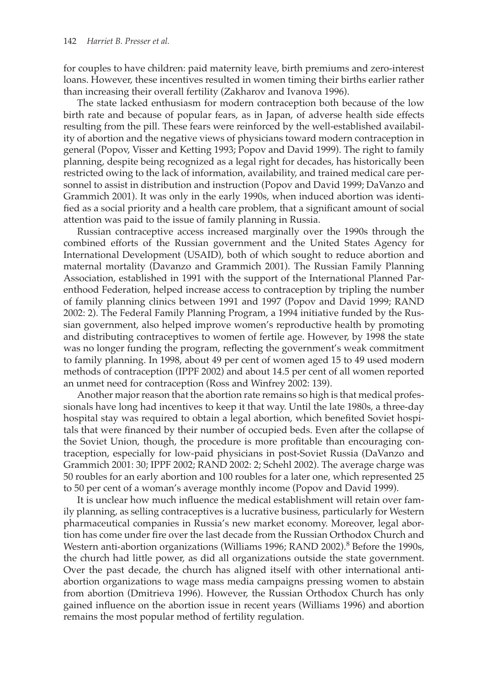for couples to have children: paid maternity leave, birth premiums and zero-interest loans. However, these incentives resulted in women timing their births earlier rather than increasing their overall fertility (Zakharov and Ivanova 1996).

The state lacked enthusiasm for modern contraception both because of the low birth rate and because of popular fears, as in Japan, of adverse health side effects resulting from the pill. These fears were reinforced by the well-established availability of abortion and the negative views of physicians toward modern contraception in general (Popov, Visser and Ketting 1993; Popov and David 1999). The right to family planning, despite being recognized as a legal right for decades, has historically been restricted owing to the lack of information, availability, and trained medical care personnel to assist in distribution and instruction (Popov and David 1999; DaVanzo and Grammich 2001). It was only in the early 1990s, when induced abortion was identified as a social priority and a health care problem, that a significant amount of social attention was paid to the issue of family planning in Russia.

Russian contraceptive access increased marginally over the 1990s through the combined efforts of the Russian government and the United States Agency for International Development (USAID), both of which sought to reduce abortion and maternal mortality (Davanzo and Grammich 2001). The Russian Family Planning Association, established in 1991 with the support of the International Planned Parenthood Federation, helped increase access to contraception by tripling the number of family planning clinics between 1991 and 1997 (Popov and David 1999; RAND 2002: 2). The Federal Family Planning Program, a 1994 initiative funded by the Russian government, also helped improve women's reproductive health by promoting and distributing contraceptives to women of fertile age. However, by 1998 the state was no longer funding the program, reflecting the government's weak commitment to family planning. In 1998, about 49 per cent of women aged 15 to 49 used modern methods of contraception (IPPF 2002) and about 14.5 per cent of all women reported an unmet need for contraception (Ross and Winfrey 2002: 139).

Another major reason that the abortion rate remains so high is that medical professionals have long had incentives to keep it that way. Until the late 1980s, a three-day hospital stay was required to obtain a legal abortion, which benefited Soviet hospitals that were financed by their number of occupied beds. Even after the collapse of the Soviet Union, though, the procedure is more profitable than encouraging contraception, especially for low-paid physicians in post-Soviet Russia (DaVanzo and Grammich 2001: 30; IPPF 2002; RAND 2002: 2; Schehl 2002). The average charge was 50 roubles for an early abortion and 100 roubles for a later one, which represented 25 to 50 per cent of a woman's average monthly income (Popov and David 1999).

It is unclear how much influence the medical establishment will retain over family planning, as selling contraceptives is a lucrative business, particularly for Western pharmaceutical companies in Russia's new market economy. Moreover, legal abortion has come under fire over the last decade from the Russian Orthodox Church and Western anti-abortion organizations (Williams 1996; RAND 2002).<sup>8</sup> Before the 1990s, the church had little power, as did all organizations outside the state government. Over the past decade, the church has aligned itself with other international antiabortion organizations to wage mass media campaigns pressing women to abstain from abortion (Dmitrieva 1996). However, the Russian Orthodox Church has only gained influence on the abortion issue in recent years (Williams 1996) and abortion remains the most popular method of fertility regulation.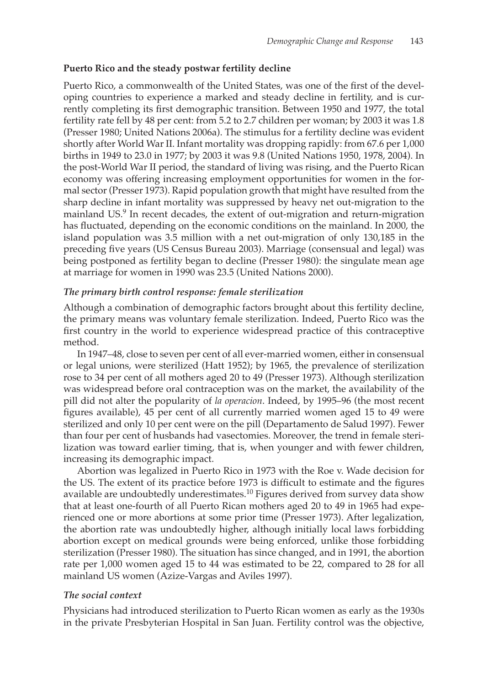## **Puerto Rico and the steady postwar fertility decline**

Puerto Rico, a commonwealth of the United States, was one of the first of the developing countries to experience a marked and steady decline in fertility, and is currently completing its first demographic transition. Between 1950 and 1977, the total fertility rate fell by 48 per cent: from 5.2 to 2.7 children per woman; by 2003 it was 1.8 (Presser 1980; United Nations 2006a). The stimulus for a fertility decline was evident shortly after World War II. Infant mortality was dropping rapidly: from 67.6 per 1,000 births in 1949 to 23.0 in 1977; by 2003 it was 9.8 (United Nations 1950, 1978, 2004). In the post-World War II period, the standard of living was rising, and the Puerto Rican economy was offering increasing employment opportunities for women in the formal sector (Presser 1973). Rapid population growth that might have resulted from the sharp decline in infant mortality was suppressed by heavy net out-migration to the mainland US.<sup>9</sup> In recent decades, the extent of out-migration and return-migration has fluctuated, depending on the economic conditions on the mainland. In 2000, the island population was 3.5 million with a net out-migration of only 130,185 in the preceding five years (US Census Bureau 2003). Marriage (consensual and legal) was being postponed as fertility began to decline (Presser 1980): the singulate mean age at marriage for women in 1990 was 23.5 (United Nations 2000).

## *The primary birth control response: female sterilization*

Although a combination of demographic factors brought about this fertility decline, the primary means was voluntary female sterilization. Indeed, Puerto Rico was the first country in the world to experience widespread practice of this contraceptive method.

In 1947–48, close to seven per cent of all ever-married women, either in consensual or legal unions, were sterilized (Hatt 1952); by 1965, the prevalence of sterilization rose to 34 per cent of all mothers aged 20 to 49 (Presser 1973). Although sterilization was widespread before oral contraception was on the market, the availability of the pill did not alter the popularity of *la operacion*. Indeed, by 1995–96 (the most recent figures available), 45 per cent of all currently married women aged 15 to 49 were sterilized and only 10 per cent were on the pill (Departamento de Salud 1997). Fewer than four per cent of husbands had vasectomies. Moreover, the trend in female sterilization was toward earlier timing, that is, when younger and with fewer children, increasing its demographic impact.

Abortion was legalized in Puerto Rico in 1973 with the Roe v. Wade decision for the US. The extent of its practice before 1973 is difficult to estimate and the figures available are undoubtedly underestimates.<sup>10</sup> Figures derived from survey data show that at least one-fourth of all Puerto Rican mothers aged 20 to 49 in 1965 had experienced one or more abortions at some prior time (Presser 1973). After legalization, the abortion rate was undoubtedly higher, although initially local laws forbidding abortion except on medical grounds were being enforced, unlike those forbidding sterilization (Presser 1980). The situation has since changed, and in 1991, the abortion rate per 1,000 women aged 15 to 44 was estimated to be 22, compared to 28 for all mainland US women (Azize-Vargas and Aviles 1997).

## *The social context*

Physicians had introduced sterilization to Puerto Rican women as early as the 1930s in the private Presbyterian Hospital in San Juan. Fertility control was the objective,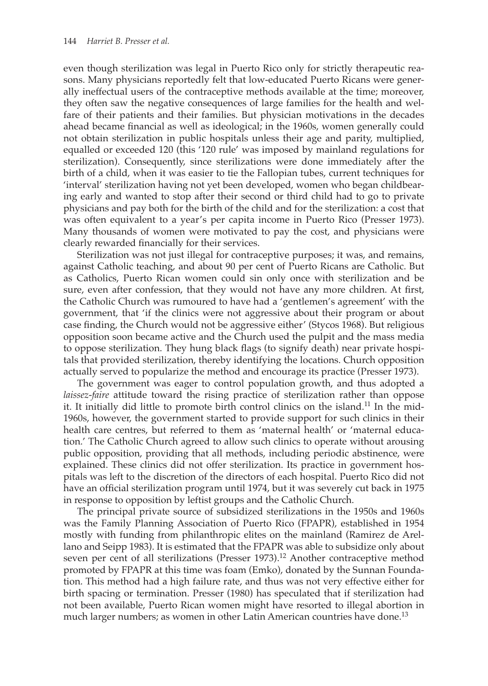even though sterilization was legal in Puerto Rico only for strictly therapeutic reasons. Many physicians reportedly felt that low-educated Puerto Ricans were generally ineffectual users of the contraceptive methods available at the time; moreover, they often saw the negative consequences of large families for the health and welfare of their patients and their families. But physician motivations in the decades ahead became financial as well as ideological; in the 1960s, women generally could not obtain sterilization in public hospitals unless their age and parity, multiplied, equalled or exceeded 120 (this '120 rule' was imposed by mainland regulations for sterilization). Consequently, since sterilizations were done immediately after the birth of a child, when it was easier to tie the Fallopian tubes, current techniques for 'interval' sterilization having not yet been developed, women who began childbearing early and wanted to stop after their second or third child had to go to private physicians and pay both for the birth of the child and for the sterilization: a cost that was often equivalent to a year's per capita income in Puerto Rico (Presser 1973). Many thousands of women were motivated to pay the cost, and physicians were clearly rewarded financially for their services.

Sterilization was not just illegal for contraceptive purposes; it was, and remains, against Catholic teaching, and about 90 per cent of Puerto Ricans are Catholic. But as Catholics, Puerto Rican women could sin only once with sterilization and be sure, even after confession, that they would not have any more children. At first, the Catholic Church was rumoured to have had a 'gentlemen's agreement' with the government, that 'if the clinics were not aggressive about their program or about case finding, the Church would not be aggressive either' (Stycos 1968). But religious opposition soon became active and the Church used the pulpit and the mass media to oppose sterilization. They hung black flags (to signify death) near private hospitals that provided sterilization, thereby identifying the locations. Church opposition actually served to popularize the method and encourage its practice (Presser 1973).

The government was eager to control population growth, and thus adopted a *laissez-faire* attitude toward the rising practice of sterilization rather than oppose it. It initially did little to promote birth control clinics on the island.<sup>11</sup> In the mid-1960s, however, the government started to provide support for such clinics in their health care centres, but referred to them as 'maternal health' or 'maternal education.' The Catholic Church agreed to allow such clinics to operate without arousing public opposition, providing that all methods, including periodic abstinence, were explained. These clinics did not offer sterilization. Its practice in government hospitals was left to the discretion of the directors of each hospital. Puerto Rico did not have an official sterilization program until 1974, but it was severely cut back in 1975 in response to opposition by leftist groups and the Catholic Church.

The principal private source of subsidized sterilizations in the 1950s and 1960s was the Family Planning Association of Puerto Rico (FPAPR), established in 1954 mostly with funding from philanthropic elites on the mainland (Ramirez de Arellano and Seipp 1983). It is estimated that the FPAPR was able to subsidize only about seven per cent of all sterilizations (Presser  $1973$ ).<sup>12</sup> Another contraceptive method promoted by FPAPR at this time was foam (Emko), donated by the Sunnan Foundation. This method had a high failure rate, and thus was not very effective either for birth spacing or termination. Presser (1980) has speculated that if sterilization had not been available, Puerto Rican women might have resorted to illegal abortion in much larger numbers; as women in other Latin American countries have done.<sup>13</sup>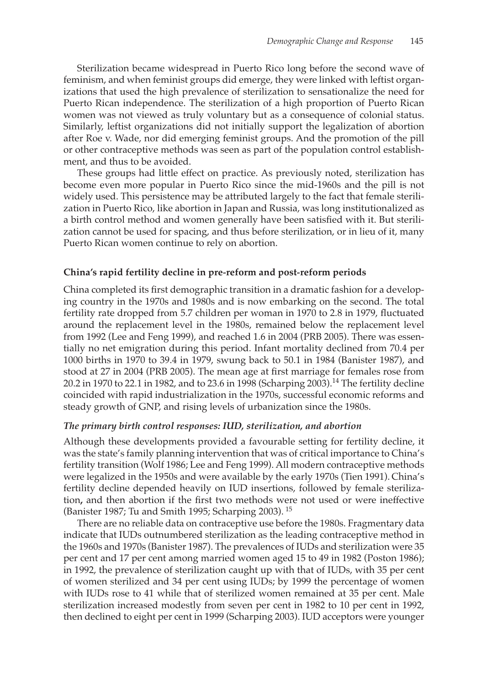Sterilization became widespread in Puerto Rico long before the second wave of feminism, and when feminist groups did emerge, they were linked with leftist organizations that used the high prevalence of sterilization to sensationalize the need for Puerto Rican independence. The sterilization of a high proportion of Puerto Rican women was not viewed as truly voluntary but as a consequence of colonial status. Similarly, leftist organizations did not initially support the legalization of abortion after Roe v. Wade, nor did emerging feminist groups. And the promotion of the pill or other contraceptive methods was seen as part of the population control establishment, and thus to be avoided.

These groups had little effect on practice. As previously noted, sterilization has become even more popular in Puerto Rico since the mid-1960s and the pill is not widely used. This persistence may be attributed largely to the fact that female sterilization in Puerto Rico, like abortion in Japan and Russia, was long institutionalized as a birth control method and women generally have been satisfied with it. But sterilization cannot be used for spacing, and thus before sterilization, or in lieu of it, many Puerto Rican women continue to rely on abortion.

#### **China's rapid fertility decline in pre-reform and post-reform periods**

China completed its first demographic transition in a dramatic fashion for a developing country in the 1970s and 1980s and is now embarking on the second. The total fertility rate dropped from 5.7 children per woman in 1970 to 2.8 in 1979, fluctuated around the replacement level in the 1980s, remained below the replacement level from 1992 (Lee and Feng 1999), and reached 1.6 in 2004 (PRB 2005). There was essentially no net emigration during this period. Infant mortality declined from 70.4 per 1000 births in 1970 to 39.4 in 1979, swung back to 50.1 in 1984 (Banister 1987), and stood at 27 in 2004 (PRB 2005). The mean age at first marriage for females rose from 20.2 in 1970 to 22.1 in 1982, and to 23.6 in 1998 (Scharping 2003).<sup>14</sup> The fertility decline coincided with rapid industrialization in the 1970s, successful economic reforms and steady growth of GNP, and rising levels of urbanization since the 1980s.

#### *The primary birth control responses: IUD, sterilization, and abortion*

Although these developments provided a favourable setting for fertility decline, it was the state's family planning intervention that was of critical importance to China's fertility transition (Wolf 1986; Lee and Feng 1999). All modern contraceptive methods were legalized in the 1950s and were available by the early 1970s (Tien 1991). China's fertility decline depended heavily on IUD insertions, followed by female sterilization**,** and then abortion if the first two methods were not used or were ineffective (Banister 1987; Tu and Smith 1995; Scharping 2003). <sup>15</sup>

There are no reliable data on contraceptive use before the 1980s. Fragmentary data indicate that IUDs outnumbered sterilization as the leading contraceptive method in the 1960s and 1970s (Banister 1987). The prevalences of IUDs and sterilization were 35 per cent and 17 per cent among married women aged 15 to 49 in 1982 (Poston 1986); in 1992, the prevalence of sterilization caught up with that of IUDs, with 35 per cent of women sterilized and 34 per cent using IUDs; by 1999 the percentage of women with IUDs rose to 41 while that of sterilized women remained at 35 per cent. Male sterilization increased modestly from seven per cent in 1982 to 10 per cent in 1992, then declined to eight per cent in 1999 (Scharping 2003). IUD acceptors were younger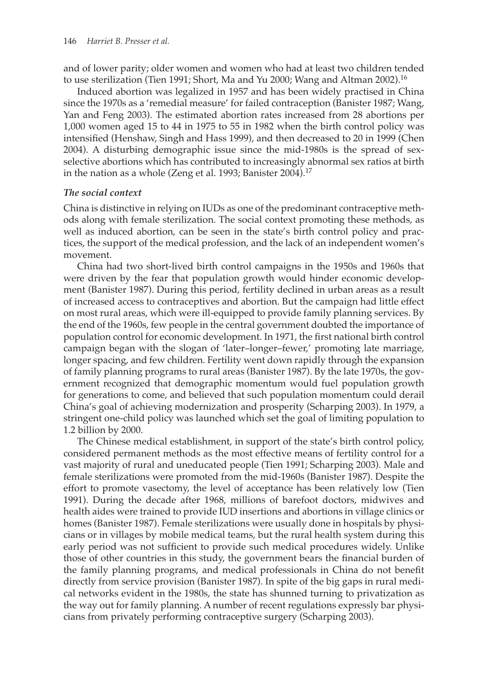and of lower parity; older women and women who had at least two children tended to use sterilization (Tien 1991; Short, Ma and Yu 2000; Wang and Altman 2002).<sup>16</sup>

Induced abortion was legalized in 1957 and has been widely practised in China since the 1970s as a 'remedial measure' for failed contraception (Banister 1987; Wang, Yan and Feng 2003). The estimated abortion rates increased from 28 abortions per 1,000 women aged 15 to 44 in 1975 to 55 in 1982 when the birth control policy was intensified (Henshaw, Singh and Hass 1999), and then decreased to 20 in 1999 (Chen 2004). A disturbing demographic issue since the mid-1980s is the spread of sexselective abortions which has contributed to increasingly abnormal sex ratios at birth in the nation as a whole (Zeng et al. 1993; Banister 2004).<sup>17</sup>

#### *The social context*

China is distinctive in relying on IUDs as one of the predominant contraceptive methods along with female sterilization. The social context promoting these methods, as well as induced abortion, can be seen in the state's birth control policy and practices, the support of the medical profession, and the lack of an independent women's movement.

China had two short-lived birth control campaigns in the 1950s and 1960s that were driven by the fear that population growth would hinder economic development (Banister 1987). During this period, fertility declined in urban areas as a result of increased access to contraceptives and abortion. But the campaign had little effect on most rural areas, which were ill-equipped to provide family planning services. By the end of the 1960s, few people in the central government doubted the importance of population control for economic development. In 1971, the first national birth control campaign began with the slogan of 'later–longer–fewer,' promoting late marriage, longer spacing, and few children. Fertility went down rapidly through the expansion of family planning programs to rural areas (Banister 1987). By the late 1970s, the government recognized that demographic momentum would fuel population growth for generations to come, and believed that such population momentum could derail China's goal of achieving modernization and prosperity (Scharping 2003). In 1979, a stringent one-child policy was launched which set the goal of limiting population to 1.2 billion by 2000.

The Chinese medical establishment, in support of the state's birth control policy, considered permanent methods as the most effective means of fertility control for a vast majority of rural and uneducated people (Tien 1991; Scharping 2003). Male and female sterilizations were promoted from the mid-1960s (Banister 1987). Despite the effort to promote vasectomy, the level of acceptance has been relatively low (Tien 1991). During the decade after 1968, millions of barefoot doctors, midwives and health aides were trained to provide IUD insertions and abortions in village clinics or homes (Banister 1987). Female sterilizations were usually done in hospitals by physicians or in villages by mobile medical teams, but the rural health system during this early period was not sufficient to provide such medical procedures widely. Unlike those of other countries in this study, the government bears the financial burden of the family planning programs, and medical professionals in China do not benefit directly from service provision (Banister 1987). In spite of the big gaps in rural medical networks evident in the 1980s, the state has shunned turning to privatization as the way out for family planning. A number of recent regulations expressly bar physicians from privately performing contraceptive surgery (Scharping 2003).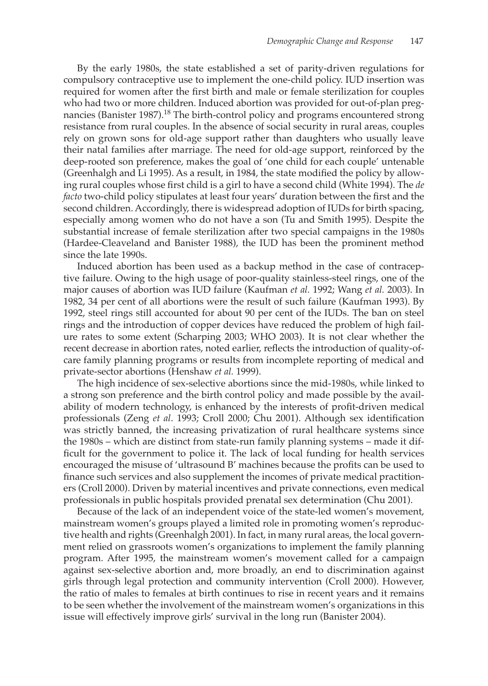By the early 1980s, the state established a set of parity-driven regulations for compulsory contraceptive use to implement the one-child policy. IUD insertion was required for women after the first birth and male or female sterilization for couples who had two or more children. Induced abortion was provided for out-of-plan pregnancies (Banister 1987).<sup>18</sup> The birth-control policy and programs encountered strong resistance from rural couples. In the absence of social security in rural areas, couples rely on grown sons for old-age support rather than daughters who usually leave their natal families after marriage. The need for old-age support, reinforced by the deep-rooted son preference, makes the goal of 'one child for each couple' untenable (Greenhalgh and Li 1995). As a result, in 1984, the state modified the policy by allowing rural couples whose first child is a girl to have a second child (White 1994). The *de facto* two-child policy stipulates at least four years' duration between the first and the second children. Accordingly, there is widespread adoption of IUDs for birth spacing, especially among women who do not have a son (Tu and Smith 1995). Despite the substantial increase of female sterilization after two special campaigns in the 1980s (Hardee-Cleaveland and Banister 1988), the IUD has been the prominent method since the late 1990s.

Induced abortion has been used as a backup method in the case of contraceptive failure. Owing to the high usage of poor-quality stainless-steel rings, one of the major causes of abortion was IUD failure (Kaufman *et al.* 1992; Wang *et al.* 2003). In 1982, 34 per cent of all abortions were the result of such failure (Kaufman 1993). By 1992, steel rings still accounted for about 90 per cent of the IUDs. The ban on steel rings and the introduction of copper devices have reduced the problem of high failure rates to some extent (Scharping 2003; WHO 2003). It is not clear whether the recent decrease in abortion rates, noted earlier, reflects the introduction of quality-ofcare family planning programs or results from incomplete reporting of medical and private-sector abortions (Henshaw *et al.* 1999).

The high incidence of sex-selective abortions since the mid-1980s, while linked to a strong son preference and the birth control policy and made possible by the availability of modern technology, is enhanced by the interests of profit-driven medical professionals (Zeng *et al*. 1993; Croll 2000; Chu 2001). Although sex identification was strictly banned, the increasing privatization of rural healthcare systems since the 1980s – which are distinct from state-run family planning systems – made it difficult for the government to police it. The lack of local funding for health services encouraged the misuse of 'ultrasound B' machines because the profits can be used to finance such services and also supplement the incomes of private medical practitioners (Croll 2000). Driven by material incentives and private connections, even medical professionals in public hospitals provided prenatal sex determination (Chu 2001).

Because of the lack of an independent voice of the state-led women's movement, mainstream women's groups played a limited role in promoting women's reproductive health and rights (Greenhalgh 2001). In fact, in many rural areas, the local government relied on grassroots women's organizations to implement the family planning program. After 1995, the mainstream women's movement called for a campaign against sex-selective abortion and, more broadly, an end to discrimination against girls through legal protection and community intervention (Croll 2000). However, the ratio of males to females at birth continues to rise in recent years and it remains to be seen whether the involvement of the mainstream women's organizations in this issue will effectively improve girls' survival in the long run (Banister 2004).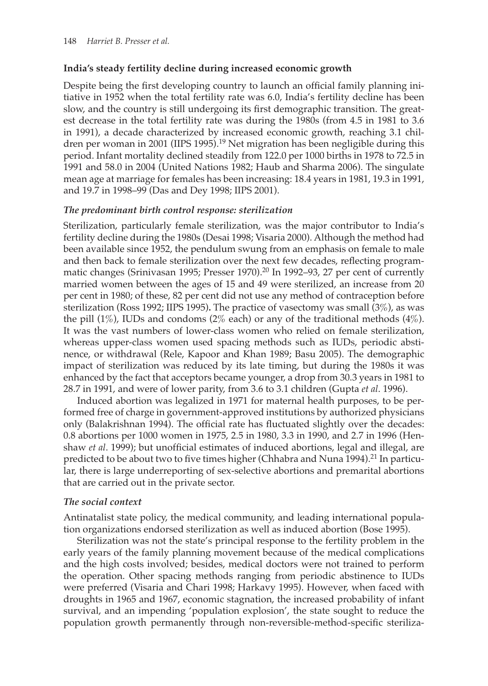## **India's steady fertility decline during increased economic growth**

Despite being the first developing country to launch an official family planning initiative in 1952 when the total fertility rate was 6.0, India's fertility decline has been slow, and the country is still undergoing its first demographic transition. The greatest decrease in the total fertility rate was during the 1980s (from 4.5 in 1981 to 3.6 in 1991), a decade characterized by increased economic growth, reaching 3.1 children per woman in 2001 (IIPS 1995).<sup>19</sup> Net migration has been negligible during this period. Infant mortality declined steadily from 122.0 per 1000 births in 1978 to 72.5 in 1991 and 58.0 in 2004 (United Nations 1982; Haub and Sharma 2006). The singulate mean age at marriage for females has been increasing: 18.4 years in 1981, 19.3 in 1991, and 19.7 in 1998–99 (Das and Dey 1998; IIPS 2001).

## *The predominant birth control response: sterilization*

Sterilization, particularly female sterilization, was the major contributor to India's fertility decline during the 1980s (Desai 1998; Visaria 2000). Although the method had been available since 1952, the pendulum swung from an emphasis on female to male and then back to female sterilization over the next few decades, reflecting programmatic changes (Srinivasan 1995; Presser 1970). <sup>20</sup> In 1992–93, 27 per cent of currently married women between the ages of 15 and 49 were sterilized, an increase from 20 per cent in 1980; of these, 82 per cent did not use any method of contraception before sterilization (Ross 1992; IIPS 1995)**.** The practice of vasectomy was small (3%), as was the pill  $(1\%)$ , IUDs and condoms  $(2\%$  each) or any of the traditional methods  $(4\%)$ . It was the vast numbers of lower-class women who relied on female sterilization, whereas upper-class women used spacing methods such as IUDs, periodic abstinence, or withdrawal (Rele, Kapoor and Khan 1989; Basu 2005). The demographic impact of sterilization was reduced by its late timing, but during the 1980s it was enhanced by the fact that acceptors became younger, a drop from 30.3 years in 1981 to 28.7 in 1991, and were of lower parity, from 3.6 to 3.1 children (Gupta *et al*. 1996).

Induced abortion was legalized in 1971 for maternal health purposes, to be performed free of charge in government-approved institutions by authorized physicians only (Balakrishnan 1994). The official rate has fluctuated slightly over the decades: 0.8 abortions per 1000 women in 1975, 2.5 in 1980, 3.3 in 1990, and 2.7 in 1996 (Henshaw *et al*. 1999); but unofficial estimates of induced abortions, legal and illegal, are predicted to be about two to five times higher (Chhabra and Nuna 1994).<sup>21</sup> In particular, there is large underreporting of sex-selective abortions and premarital abortions that are carried out in the private sector.

## *The social context*

Antinatalist state policy, the medical community, and leading international population organizations endorsed sterilization as well as induced abortion (Bose 1995).

Sterilization was not the state's principal response to the fertility problem in the early years of the family planning movement because of the medical complications and the high costs involved; besides, medical doctors were not trained to perform the operation. Other spacing methods ranging from periodic abstinence to IUDs were preferred (Visaria and Chari 1998; Harkavy 1995). However, when faced with droughts in 1965 and 1967, economic stagnation, the increased probability of infant survival, and an impending 'population explosion', the state sought to reduce the population growth permanently through non-reversible-method-specific steriliza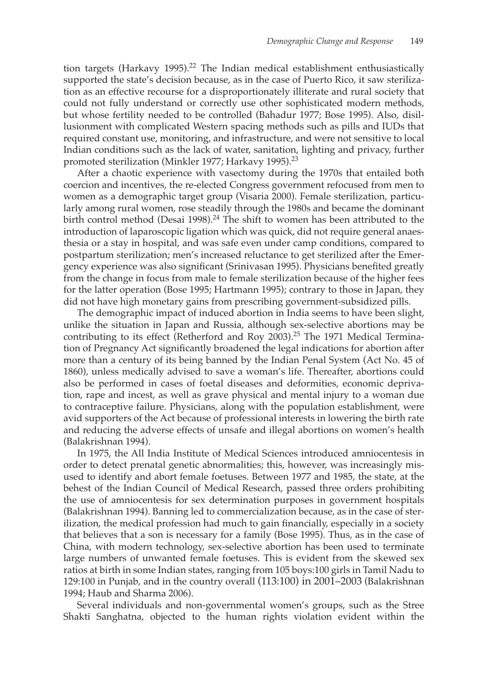tion targets (Harkavy 1995).<sup>22</sup> The Indian medical establishment enthusiastically supported the state's decision because, as in the case of Puerto Rico, it saw sterilization as an effective recourse for a disproportionately illiterate and rural society that could not fully understand or correctly use other sophisticated modern methods, but whose fertility needed to be controlled (Bahadur 1977; Bose 1995). Also, disillusionment with complicated Western spacing methods such as pills and IUDs that required constant use, monitoring, and infrastructure, and were not sensitive to local Indian conditions such as the lack of water, sanitation, lighting and privacy, further promoted sterilization (Minkler 1977; Harkavy 1995). 23

After a chaotic experience with vasectomy during the 1970s that entailed both coercion and incentives, the re-elected Congress government refocused from men to women as a demographic target group (Visaria 2000). Female sterilization, particularly among rural women, rose steadily through the 1980s and became the dominant birth control method (Desai 1998).<sup>24</sup> The shift to women has been attributed to the introduction of laparoscopic ligation which was quick, did not require general anaesthesia or a stay in hospital, and was safe even under camp conditions, compared to postpartum sterilization; men's increased reluctance to get sterilized after the Emergency experience was also significant (Srinivasan 1995). Physicians benefited greatly from the change in focus from male to female sterilization because of the higher fees for the latter operation (Bose 1995; Hartmann 1995); contrary to those in Japan, they did not have high monetary gains from prescribing government-subsidized pills.

The demographic impact of induced abortion in India seems to have been slight, unlike the situation in Japan and Russia, although sex-selective abortions may be contributing to its effect (Retherford and Roy 2003).<sup>25</sup> The 1971 Medical Termination of Pregnancy Act significantly broadened the legal indications for abortion after more than a century of its being banned by the Indian Penal System (Act No. 45 of 1860), unless medically advised to save a woman's life. Thereafter, abortions could also be performed in cases of foetal diseases and deformities, economic deprivation, rape and incest, as well as grave physical and mental injury to a woman due to contraceptive failure. Physicians, along with the population establishment, were avid supporters of the Act because of professional interests in lowering the birth rate and reducing the adverse effects of unsafe and illegal abortions on women's health (Balakrishnan 1994).

In 1975, the All India Institute of Medical Sciences introduced amniocentesis in order to detect prenatal genetic abnormalities; this, however, was increasingly misused to identify and abort female foetuses. Between 1977 and 1985, the state, at the behest of the Indian Council of Medical Research, passed three orders prohibiting the use of amniocentesis for sex determination purposes in government hospitals (Balakrishnan 1994). Banning led to commercialization because, as in the case of sterilization, the medical profession had much to gain financially, especially in a society that believes that a son is necessary for a family (Bose 1995). Thus, as in the case of China, with modern technology, sex-selective abortion has been used to terminate large numbers of unwanted female foetuses. This is evident from the skewed sex ratios at birth in some Indian states, ranging from 105 boys:100 girls in Tamil Nadu to 129:100 in Punjab, and in the country overall (113:100) in 2001–2003 (Balakrishnan 1994; Haub and Sharma 2006).

Several individuals and non-governmental women's groups, such as the Stree Shakti Sanghatna, objected to the human rights violation evident within the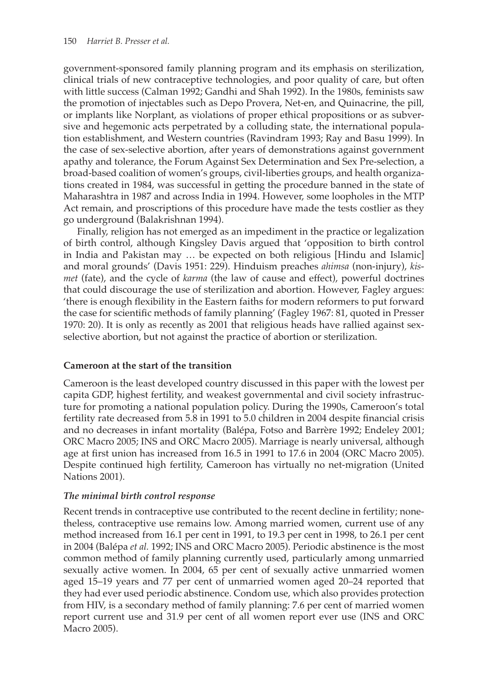government-sponsored family planning program and its emphasis on sterilization, clinical trials of new contraceptive technologies, and poor quality of care, but often with little success (Calman 1992; Gandhi and Shah 1992). In the 1980s, feminists saw the promotion of injectables such as Depo Provera, Net-en, and Quinacrine, the pill, or implants like Norplant, as violations of proper ethical propositions or as subversive and hegemonic acts perpetrated by a colluding state, the international population establishment, and Western countries (Ravindram 1993; Ray and Basu 1999). In the case of sex-selective abortion, after years of demonstrations against government apathy and tolerance, the Forum Against Sex Determination and Sex Pre-selection, a broad-based coalition of women's groups, civil-liberties groups, and health organizations created in 1984, was successful in getting the procedure banned in the state of Maharashtra in 1987 and across India in 1994. However, some loopholes in the MTP Act remain, and proscriptions of this procedure have made the tests costlier as they go underground (Balakrishnan 1994).

Finally, religion has not emerged as an impediment in the practice or legalization of birth control, although Kingsley Davis argued that 'opposition to birth control in India and Pakistan may … be expected on both religious [Hindu and Islamic] and moral grounds' (Davis 1951: 229). Hinduism preaches *ahimsa* (non-injury), *kismet* (fate), and the cycle of *karma* (the law of cause and effect), powerful doctrines that could discourage the use of sterilization and abortion. However, Fagley argues: 'there is enough flexibility in the Eastern faiths for modern reformers to put forward the case for scientific methods of family planning' (Fagley 1967: 81, quoted in Presser 1970: 20). It is only as recently as 2001 that religious heads have rallied against sexselective abortion, but not against the practice of abortion or sterilization.

#### **Cameroon at the start of the transition**

Cameroon is the least developed country discussed in this paper with the lowest per capita GDP, highest fertility, and weakest governmental and civil society infrastructure for promoting a national population policy. During the 1990s, Cameroon's total fertility rate decreased from 5.8 in 1991 to 5.0 children in 2004 despite financial crisis and no decreases in infant mortality (Balépa, Fotso and Barrère 1992; Endeley 2001; ORC Macro 2005; INS and ORC Macro 2005). Marriage is nearly universal, although age at first union has increased from 16.5 in 1991 to 17.6 in 2004 (ORC Macro 2005). Despite continued high fertility, Cameroon has virtually no net-migration (United Nations 2001).

#### *The minimal birth control response*

Recent trends in contraceptive use contributed to the recent decline in fertility; nonetheless, contraceptive use remains low. Among married women, current use of any method increased from 16.1 per cent in 1991, to 19.3 per cent in 1998, to 26.1 per cent in 2004 (Balépa *et al.* 1992; INS and ORC Macro 2005). Periodic abstinence is the most common method of family planning currently used, particularly among unmarried sexually active women. In 2004, 65 per cent of sexually active unmarried women aged 15–19 years and 77 per cent of unmarried women aged 20–24 reported that they had ever used periodic abstinence. Condom use, which also provides protection from HIV, is a secondary method of family planning: 7.6 per cent of married women report current use and 31.9 per cent of all women report ever use (INS and ORC Macro 2005).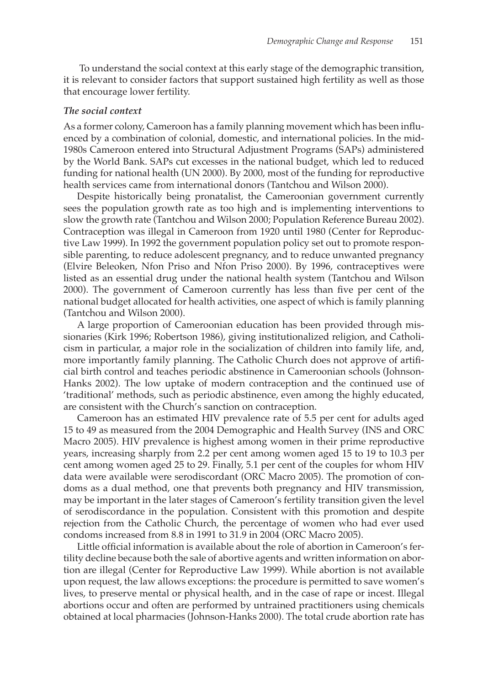To understand the social context at this early stage of the demographic transition, it is relevant to consider factors that support sustained high fertility as well as those that encourage lower fertility.

#### *The social context*

As a former colony, Cameroon has a family planning movement which has been influenced by a combination of colonial, domestic, and international policies. In the mid-1980s Cameroon entered into Structural Adjustment Programs (SAPs) administered by the World Bank. SAPs cut excesses in the national budget, which led to reduced funding for national health (UN 2000). By 2000, most of the funding for reproductive health services came from international donors (Tantchou and Wilson 2000).

Despite historically being pronatalist, the Cameroonian government currently sees the population growth rate as too high and is implementing interventions to slow the growth rate (Tantchou and Wilson 2000; Population Reference Bureau 2002). Contraception was illegal in Cameroon from 1920 until 1980 (Center for Reproductive Law 1999). In 1992 the government population policy set out to promote responsible parenting, to reduce adolescent pregnancy, and to reduce unwanted pregnancy (Elvire Beleoken, Nfon Priso and Nfon Priso 2000). By 1996, contraceptives were listed as an essential drug under the national health system (Tantchou and Wilson 2000). The government of Cameroon currently has less than five per cent of the national budget allocated for health activities, one aspect of which is family planning (Tantchou and Wilson 2000).

A large proportion of Cameroonian education has been provided through missionaries (Kirk 1996; Robertson 1986), giving institutionalized religion, and Catholicism in particular, a major role in the socialization of children into family life, and, more importantly family planning. The Catholic Church does not approve of artificial birth control and teaches periodic abstinence in Cameroonian schools (Johnson-Hanks 2002). The low uptake of modern contraception and the continued use of 'traditional' methods, such as periodic abstinence, even among the highly educated, are consistent with the Church's sanction on contraception.

Cameroon has an estimated HIV prevalence rate of 5.5 per cent for adults aged 15 to 49 as measured from the 2004 Demographic and Health Survey (INS and ORC Macro 2005). HIV prevalence is highest among women in their prime reproductive years, increasing sharply from 2.2 per cent among women aged 15 to 19 to 10.3 per cent among women aged 25 to 29. Finally, 5.1 per cent of the couples for whom HIV data were available were serodiscordant (ORC Macro 2005). The promotion of condoms as a dual method, one that prevents both pregnancy and HIV transmission, may be important in the later stages of Cameroon's fertility transition given the level of serodiscordance in the population. Consistent with this promotion and despite rejection from the Catholic Church, the percentage of women who had ever used condoms increased from 8.8 in 1991 to 31.9 in 2004 (ORC Macro 2005).

Little official information is available about the role of abortion in Cameroon's fertility decline because both the sale of abortive agents and written information on abortion are illegal (Center for Reproductive Law 1999). While abortion is not available upon request, the law allows exceptions: the procedure is permitted to save women's lives, to preserve mental or physical health, and in the case of rape or incest. Illegal abortions occur and often are performed by untrained practitioners using chemicals obtained at local pharmacies (Johnson-Hanks 2000). The total crude abortion rate has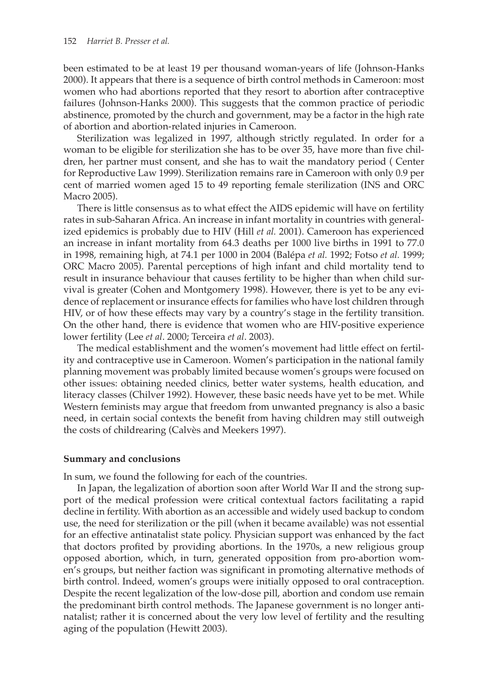been estimated to be at least 19 per thousand woman-years of life (Johnson-Hanks 2000). It appears that there is a sequence of birth control methods in Cameroon: most women who had abortions reported that they resort to abortion after contraceptive failures (Johnson-Hanks 2000). This suggests that the common practice of periodic abstinence, promoted by the church and government, may be a factor in the high rate of abortion and abortion-related injuries in Cameroon.

Sterilization was legalized in 1997, although strictly regulated. In order for a woman to be eligible for sterilization she has to be over 35, have more than five children, her partner must consent, and she has to wait the mandatory period ( Center for Reproductive Law 1999). Sterilization remains rare in Cameroon with only 0.9 per cent of married women aged 15 to 49 reporting female sterilization (INS and ORC Macro 2005).

There is little consensus as to what effect the AIDS epidemic will have on fertility rates in sub-Saharan Africa. An increase in infant mortality in countries with generalized epidemics is probably due to HIV (Hill *et al.* 2001). Cameroon has experienced an increase in infant mortality from 64.3 deaths per 1000 live births in 1991 to 77.0 in 1998, remaining high, at 74.1 per 1000 in 2004 (Balépa *et al.* 1992; Fotso *et al.* 1999; ORC Macro 2005). Parental perceptions of high infant and child mortality tend to result in insurance behaviour that causes fertility to be higher than when child survival is greater (Cohen and Montgomery 1998). However, there is yet to be any evidence of replacement or insurance effects for families who have lost children through HIV, or of how these effects may vary by a country's stage in the fertility transition. On the other hand, there is evidence that women who are HIV-positive experience lower fertility (Lee *et al*. 2000; Terceira *et al*. 2003).

The medical establishment and the women's movement had little effect on fertility and contraceptive use in Cameroon. Women's participation in the national family planning movement was probably limited because women's groups were focused on other issues: obtaining needed clinics, better water systems, health education, and literacy classes (Chilver 1992). However, these basic needs have yet to be met. While Western feminists may argue that freedom from unwanted pregnancy is also a basic need, in certain social contexts the benefit from having children may still outweigh the costs of childrearing (Calvès and Meekers 1997).

#### **Summary and conclusions**

In sum, we found the following for each of the countries.

In Japan, the legalization of abortion soon after World War II and the strong support of the medical profession were critical contextual factors facilitating a rapid decline in fertility. With abortion as an accessible and widely used backup to condom use, the need for sterilization or the pill (when it became available) was not essential for an effective antinatalist state policy. Physician support was enhanced by the fact that doctors profited by providing abortions. In the 1970s, a new religious group opposed abortion, which, in turn, generated opposition from pro-abortion women's groups, but neither faction was significant in promoting alternative methods of birth control. Indeed, women's groups were initially opposed to oral contraception. Despite the recent legalization of the low-dose pill, abortion and condom use remain the predominant birth control methods. The Japanese government is no longer antinatalist; rather it is concerned about the very low level of fertility and the resulting aging of the population (Hewitt 2003).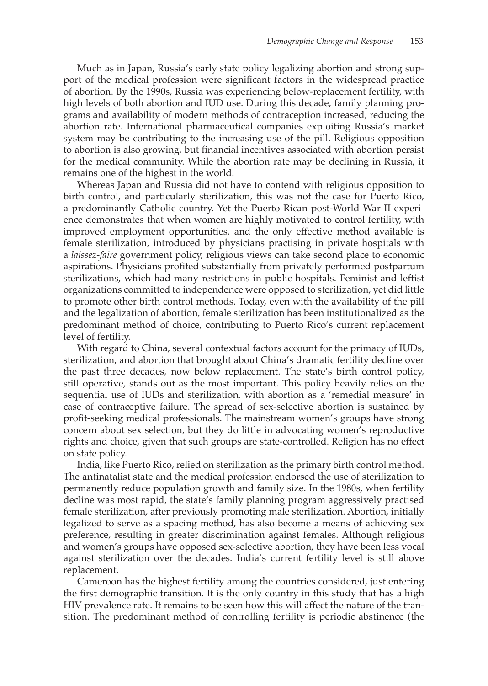Much as in Japan, Russia's early state policy legalizing abortion and strong support of the medical profession were significant factors in the widespread practice of abortion. By the 1990s, Russia was experiencing below-replacement fertility, with high levels of both abortion and IUD use. During this decade, family planning programs and availability of modern methods of contraception increased, reducing the abortion rate. International pharmaceutical companies exploiting Russia's market system may be contributing to the increasing use of the pill. Religious opposition to abortion is also growing, but financial incentives associated with abortion persist for the medical community. While the abortion rate may be declining in Russia, it remains one of the highest in the world.

Whereas Japan and Russia did not have to contend with religious opposition to birth control, and particularly sterilization, this was not the case for Puerto Rico, a predominantly Catholic country. Yet the Puerto Rican post-World War II experience demonstrates that when women are highly motivated to control fertility, with improved employment opportunities, and the only effective method available is female sterilization, introduced by physicians practising in private hospitals with a *laissez-faire* government policy, religious views can take second place to economic aspirations. Physicians profited substantially from privately performed postpartum sterilizations, which had many restrictions in public hospitals. Feminist and leftist organizations committed to independence were opposed to sterilization, yet did little to promote other birth control methods. Today, even with the availability of the pill and the legalization of abortion, female sterilization has been institutionalized as the predominant method of choice, contributing to Puerto Rico's current replacement level of fertility.

With regard to China, several contextual factors account for the primacy of IUDs, sterilization, and abortion that brought about China's dramatic fertility decline over the past three decades, now below replacement. The state's birth control policy, still operative, stands out as the most important. This policy heavily relies on the sequential use of IUDs and sterilization, with abortion as a 'remedial measure' in case of contraceptive failure. The spread of sex-selective abortion is sustained by profit-seeking medical professionals. The mainstream women's groups have strong concern about sex selection, but they do little in advocating women's reproductive rights and choice, given that such groups are state-controlled. Religion has no effect on state policy.

India, like Puerto Rico, relied on sterilization as the primary birth control method. The antinatalist state and the medical profession endorsed the use of sterilization to permanently reduce population growth and family size. In the 1980s, when fertility decline was most rapid, the state's family planning program aggressively practised female sterilization, after previously promoting male sterilization. Abortion, initially legalized to serve as a spacing method, has also become a means of achieving sex preference, resulting in greater discrimination against females. Although religious and women's groups have opposed sex-selective abortion, they have been less vocal against sterilization over the decades. India's current fertility level is still above replacement.

Cameroon has the highest fertility among the countries considered, just entering the first demographic transition. It is the only country in this study that has a high HIV prevalence rate. It remains to be seen how this will affect the nature of the transition. The predominant method of controlling fertility is periodic abstinence (the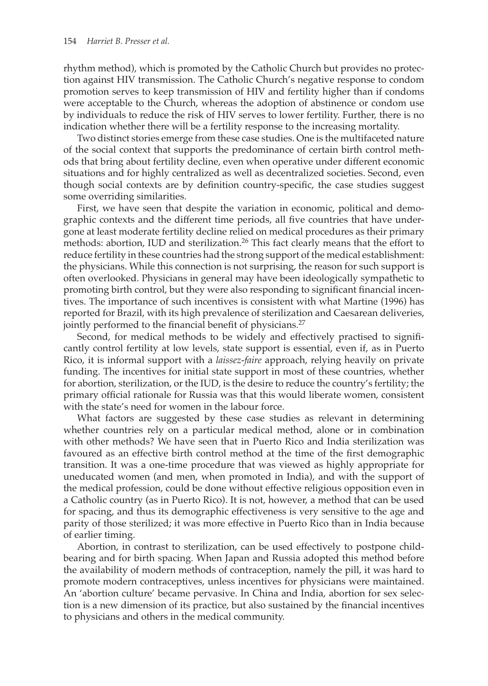rhythm method), which is promoted by the Catholic Church but provides no protection against HIV transmission. The Catholic Church's negative response to condom promotion serves to keep transmission of HIV and fertility higher than if condoms were acceptable to the Church, whereas the adoption of abstinence or condom use by individuals to reduce the risk of HIV serves to lower fertility. Further, there is no indication whether there will be a fertility response to the increasing mortality.

Two distinct stories emerge from these case studies. One is the multifaceted nature of the social context that supports the predominance of certain birth control methods that bring about fertility decline, even when operative under different economic situations and for highly centralized as well as decentralized societies. Second, even though social contexts are by definition country-specific, the case studies suggest some overriding similarities.

First, we have seen that despite the variation in economic, political and demographic contexts and the different time periods, all five countries that have undergone at least moderate fertility decline relied on medical procedures as their primary methods: abortion, IUD and sterilization. 26 This fact clearly means that the effort to reduce fertility in these countries had the strong support of the medical establishment: the physicians. While this connection is not surprising, the reason for such support is often overlooked. Physicians in general may have been ideologically sympathetic to promoting birth control, but they were also responding to significant financial incentives. The importance of such incentives is consistent with what Martine (1996) has reported for Brazil, with its high prevalence of sterilization and Caesarean deliveries, jointly performed to the financial benefit of physicians.<sup>27</sup>

Second, for medical methods to be widely and effectively practised to significantly control fertility at low levels, state support is essential, even if, as in Puerto Rico, it is informal support with a *laissez-faire* approach, relying heavily on private funding. The incentives for initial state support in most of these countries, whether for abortion, sterilization, or the IUD, is the desire to reduce the country's fertility; the primary official rationale for Russia was that this would liberate women, consistent with the state's need for women in the labour force.

What factors are suggested by these case studies as relevant in determining whether countries rely on a particular medical method, alone or in combination with other methods? We have seen that in Puerto Rico and India sterilization was favoured as an effective birth control method at the time of the first demographic transition. It was a one-time procedure that was viewed as highly appropriate for uneducated women (and men, when promoted in India), and with the support of the medical profession, could be done without effective religious opposition even in a Catholic country (as in Puerto Rico). It is not, however, a method that can be used for spacing, and thus its demographic effectiveness is very sensitive to the age and parity of those sterilized; it was more effective in Puerto Rico than in India because of earlier timing.

Abortion, in contrast to sterilization, can be used effectively to postpone childbearing and for birth spacing. When Japan and Russia adopted this method before the availability of modern methods of contraception, namely the pill, it was hard to promote modern contraceptives, unless incentives for physicians were maintained. An 'abortion culture' became pervasive. In China and India, abortion for sex selection is a new dimension of its practice, but also sustained by the financial incentives to physicians and others in the medical community.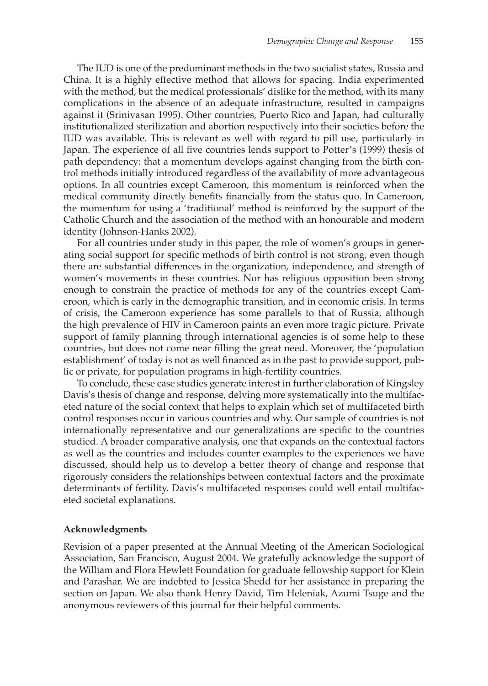The IUD is one of the predominant methods in the two socialist states, Russia and China. It is a highly effective method that allows for spacing. India experimented with the method, but the medical professionals' dislike for the method, with its many complications in the absence of an adequate infrastructure, resulted in campaigns against it (Srinivasan 1995). Other countries, Puerto Rico and Japan, had culturally institutionalized sterilization and abortion respectively into their societies before the IUD was available. This is relevant as well with regard to pill use, particularly in Japan. The experience of all five countries lends support to Potter's (1999) thesis of path dependency: that a momentum develops against changing from the birth control methods initially introduced regardless of the availability of more advantageous options. In all countries except Cameroon, this momentum is reinforced when the medical community directly benefits financially from the status quo. In Cameroon, the momentum for using a 'traditional' method is reinforced by the support of the Catholic Church and the association of the method with an honourable and modern identity (Johnson-Hanks 2002).

For all countries under study in this paper, the role of women's groups in generating social support for specific methods of birth control is not strong, even though there are substantial differences in the organization, independence, and strength of women's movements in these countries. Nor has religious opposition been strong enough to constrain the practice of methods for any of the countries except Cameroon, which is early in the demographic transition, and in economic crisis. In terms of crisis, the Cameroon experience has some parallels to that of Russia, although the high prevalence of HIV in Cameroon paints an even more tragic picture. Private support of family planning through international agencies is of some help to these countries, but does not come near filling the great need. Moreover, the 'population establishment' of today is not as well financed as in the past to provide support, public or private, for population programs in high-fertility countries.

To conclude, these case studies generate interest in further elaboration of Kingsley Davis's thesis of change and response, delving more systematically into the multifaceted nature of the social context that helps to explain which set of multifaceted birth control responses occur in various countries and why. Our sample of countries is not internationally representative and our generalizations are specific to the countries studied. A broader comparative analysis, one that expands on the contextual factors as well as the countries and includes counter examples to the experiences we have discussed, should help us to develop a better theory of change and response that rigorously considers the relationships between contextual factors and the proximate determinants of fertility. Davis's multifaceted responses could well entail multifaceted societal explanations.

#### **Acknowledgments**

Revision of a paper presented at the Annual Meeting of the American Sociological Association, San Francisco, August 2004. We gratefully acknowledge the support of the William and Flora Hewlett Foundation for graduate fellowship support for Klein and Parashar. We are indebted to Jessica Shedd for her assistance in preparing the section on Japan. We also thank Henry David, Tim Heleniak, Azumi Tsuge and the anonymous reviewers of this journal for their helpful comments.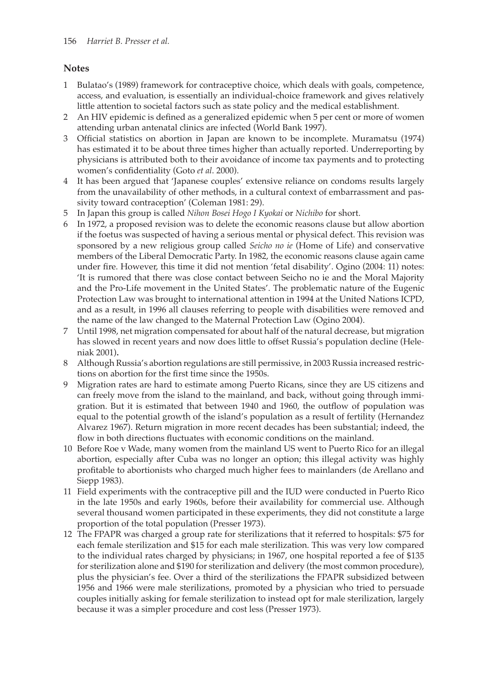#### **Notes**

- 1 Bulatao's (1989) framework for contraceptive choice, which deals with goals, competence, access, and evaluation, is essentially an individual-choice framework and gives relatively little attention to societal factors such as state policy and the medical establishment.
- 2 An HIV epidemic is defined as a generalized epidemic when 5 per cent or more of women attending urban antenatal clinics are infected (World Bank 1997).
- 3 Official statistics on abortion in Japan are known to be incomplete. Muramatsu (1974) has estimated it to be about three times higher than actually reported. Underreporting by physicians is attributed both to their avoidance of income tax payments and to protecting women's confidentiality (Goto *et al*. 2000).
- 4 It has been argued that 'Japanese couples' extensive reliance on condoms results largely from the unavailability of other methods, in a cultural context of embarrassment and passivity toward contraception' (Coleman 1981: 29).
- 5 In Japan this group is called *Nihon Bosei Hogo I Kyokai* or *Nichibo* for short.
- 6 In 1972, a proposed revision was to delete the economic reasons clause but allow abortion if the foetus was suspected of having a serious mental or physical defect. This revision was sponsored by a new religious group called *Seicho no ie* (Home of Life) and conservative members of the Liberal Democratic Party. In 1982, the economic reasons clause again came under fire. However, this time it did not mention 'fetal disability'. Ogino (2004: 11) notes: 'It is rumored that there was close contact between Seicho no ie and the Moral Majority and the Pro-Life movement in the United States'. The problematic nature of the Eugenic Protection Law was brought to international attention in 1994 at the United Nations ICPD, and as a result, in 1996 all clauses referring to people with disabilities were removed and the name of the law changed to the Maternal Protection Law (Ogino 2004).
- 7 Until 1998, net migration compensated for about half of the natural decrease, but migration has slowed in recent years and now does little to offset Russia's population decline (Heleniak 2001)**.**
- 8 Although Russia's abortion regulations are still permissive, in 2003 Russia increased restrictions on abortion for the first time since the 1950s.
- 9 Migration rates are hard to estimate among Puerto Ricans, since they are US citizens and can freely move from the island to the mainland, and back, without going through immigration. But it is estimated that between 1940 and 1960, the outflow of population was equal to the potential growth of the island's population as a result of fertility (Hernandez Alvarez 1967). Return migration in more recent decades has been substantial; indeed, the flow in both directions fluctuates with economic conditions on the mainland.
- 10 Before Roe v Wade, many women from the mainland US went to Puerto Rico for an illegal abortion, especially after Cuba was no longer an option; this illegal activity was highly profitable to abortionists who charged much higher fees to mainlanders (de Arellano and Siepp 1983).
- 11 Field experiments with the contraceptive pill and the IUD were conducted in Puerto Rico in the late 1950s and early 1960s, before their availability for commercial use. Although several thousand women participated in these experiments, they did not constitute a large proportion of the total population (Presser 1973).
- 12 The FPAPR was charged a group rate for sterilizations that it referred to hospitals: \$75 for each female sterilization and \$15 for each male sterilization. This was very low compared to the individual rates charged by physicians; in 1967, one hospital reported a fee of \$135 for sterilization alone and \$190 for sterilization and delivery (the most common procedure), plus the physician's fee. Over a third of the sterilizations the FPAPR subsidized between 1956 and 1966 were male sterilizations, promoted by a physician who tried to persuade couples initially asking for female sterilization to instead opt for male sterilization, largely because it was a simpler procedure and cost less (Presser 1973).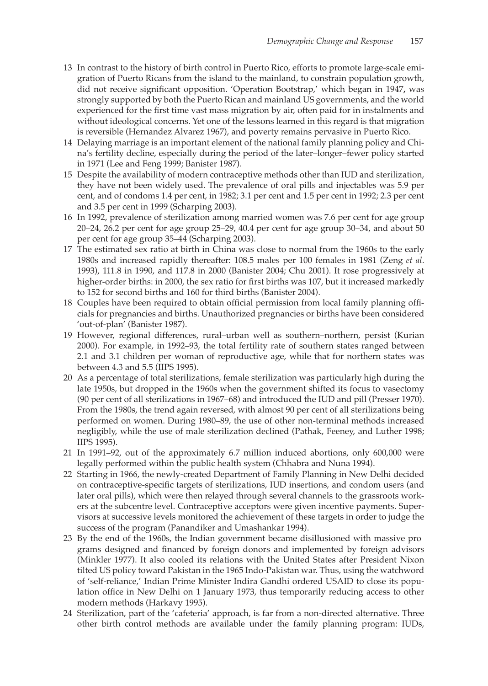- 13 In contrast to the history of birth control in Puerto Rico, efforts to promote large-scale emigration of Puerto Ricans from the island to the mainland, to constrain population growth, did not receive significant opposition. 'Operation Bootstrap,' which began in 1947**,** was strongly supported by both the Puerto Rican and mainland US governments, and the world experienced for the first time vast mass migration by air, often paid for in instalments and without ideological concerns. Yet one of the lessons learned in this regard is that migration is reversible (Hernandez Alvarez 1967), and poverty remains pervasive in Puerto Rico.
- 14 Delaying marriage is an important element of the national family planning policy and China's fertility decline, especially during the period of the later–longer–fewer policy started in 1971 (Lee and Feng 1999; Banister 1987).
- 15 Despite the availability of modern contraceptive methods other than IUD and sterilization, they have not been widely used. The prevalence of oral pills and injectables was 5.9 per cent, and of condoms 1.4 per cent, in 1982; 3.1 per cent and 1.5 per cent in 1992; 2.3 per cent and 3.5 per cent in 1999 (Scharping 2003).
- 16 In 1992, prevalence of sterilization among married women was 7.6 per cent for age group 20–24, 26.2 per cent for age group 25–29, 40.4 per cent for age group 30–34, and about 50 per cent for age group 35–44 (Scharping 2003).
- 17 The estimated sex ratio at birth in China was close to normal from the 1960s to the early 1980s and increased rapidly thereafter: 108.5 males per 100 females in 1981 (Zeng *et al*. 1993), 111.8 in 1990, and 117.8 in 2000 (Banister 2004; Chu 2001). It rose progressively at higher-order births: in 2000, the sex ratio for first births was 107, but it increased markedly to 152 for second births and 160 for third births (Banister 2004).
- 18 Couples have been required to obtain official permission from local family planning officials for pregnancies and births. Unauthorized pregnancies or births have been considered 'out-of-plan' (Banister 1987).
- 19 However, regional differences, rural–urban well as southern–northern, persist (Kurian 2000). For example, in 1992–93, the total fertility rate of southern states ranged between 2.1 and 3.1 children per woman of reproductive age, while that for northern states was between 4.3 and 5.5 (IIPS 1995).
- 20 As a percentage of total sterilizations, female sterilization was particularly high during the late 1950s, but dropped in the 1960s when the government shifted its focus to vasectomy (90 per cent of all sterilizations in 1967–68) and introduced the IUD and pill (Presser 1970). From the 1980s, the trend again reversed, with almost 90 per cent of all sterilizations being performed on women. During 1980–89, the use of other non-terminal methods increased negligibly, while the use of male sterilization declined (Pathak, Feeney, and Luther 1998; IIPS 1995).
- 21 In 1991–92, out of the approximately 6.7 million induced abortions, only 600,000 were legally performed within the public health system (Chhabra and Nuna 1994).
- 22 Starting in 1966, the newly-created Department of Family Planning in New Delhi decided on contraceptive-specific targets of sterilizations, IUD insertions, and condom users (and later oral pills), which were then relayed through several channels to the grassroots workers at the subcentre level. Contraceptive acceptors were given incentive payments. Supervisors at successive levels monitored the achievement of these targets in order to judge the success of the program (Panandiker and Umashankar 1994).
- 23 By the end of the 1960s, the Indian government became disillusioned with massive programs designed and financed by foreign donors and implemented by foreign advisors (Minkler 1977). It also cooled its relations with the United States after President Nixon tilted US policy toward Pakistan in the 1965 Indo-Pakistan war. Thus, using the watchword of 'self-reliance,' Indian Prime Minister Indira Gandhi ordered USAID to close its population office in New Delhi on 1 January 1973, thus temporarily reducing access to other modern methods (Harkavy 1995).
- 24 Sterilization, part of the 'cafeteria' approach, is far from a non-directed alternative. Three other birth control methods are available under the family planning program: IUDs,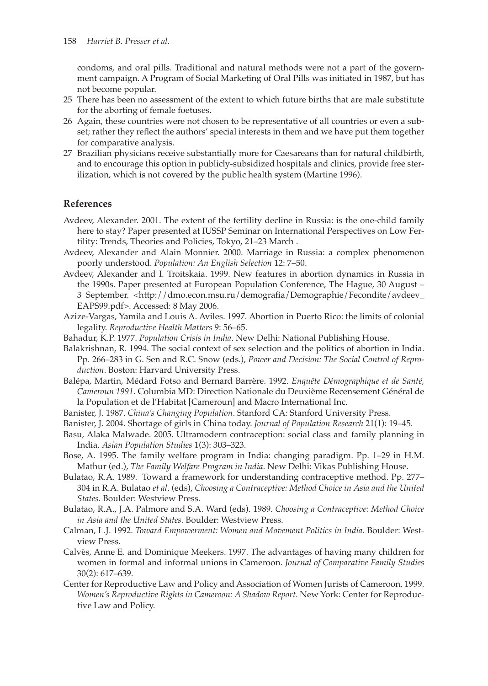condoms, and oral pills. Traditional and natural methods were not a part of the government campaign. A Program of Social Marketing of Oral Pills was initiated in 1987, but has not become popular.

- 25 There has been no assessment of the extent to which future births that are male substitute for the aborting of female foetuses.
- 26 Again, these countries were not chosen to be representative of all countries or even a subset; rather they reflect the authors' special interests in them and we have put them together for comparative analysis.
- 27 Brazilian physicians receive substantially more for Caesareans than for natural childbirth, and to encourage this option in publicly-subsidized hospitals and clinics, provide free sterilization, which is not covered by the public health system (Martine 1996).

## **References**

- Avdeev, Alexander. 2001. The extent of the fertility decline in Russia: is the one-child family here to stay? Paper presented at IUSSP Seminar on International Perspectives on Low Fertility: Trends, Theories and Policies, Tokyo, 21–23 March .
- Avdeev, Alexander and Alain Monnier. 2000. Marriage in Russia: a complex phenomenon poorly understood. *Population: An English Selection* 12: 7–50.
- Avdeev, Alexander and I. Troitskaia. 1999. New features in abortion dynamics in Russia in the 1990s. Paper presented at European Population Conference, The Hague, 30 August – 3 September. <http://dmo.econ.msu.ru/demografia/Demographie/Fecondite/avdeev\_ EAPS99.pdf>. Accessed: 8 May 2006.
- Azize-Vargas, Yamila and Louis A. Aviles. 1997. Abortion in Puerto Rico: the limits of colonial legality. *Reproductive Health Matters* 9: 56–65.
- Bahadur, K.P. 1977. *Population Crisis in India*. New Delhi: National Publishing House.
- Balakrishnan, R. 1994. The social context of sex selection and the politics of abortion in India. Pp. 266–283 in G. Sen and R.C. Snow (eds.), *Power and Decision: The Social Control of Reproduction*. Boston: Harvard University Press.
- Balépa, Martin, Médard Fotso and Bernard Barrère. 1992. *Enquête Démographique et de Santé, Cameroun 1991*. Columbia MD: Direction Nationale du Deuxième Recensement Général de la Population et de l'Habitat [Cameroun] and Macro International Inc.
- Banister, J. 1987. *China's Changing Population*. Stanford CA: Stanford University Press.
- Banister, J. 2004. Shortage of girls in China today. *Journal of Population Research* 21(1): 19–45.
- Basu, Alaka Malwade. 2005. Ultramodern contraception: social class and family planning in India. *Asian Population Studies* 1(3): 303–323.
- Bose, A. 1995. The family welfare program in India: changing paradigm. Pp. 1–29 in H.M. Mathur (ed.), *The Family Welfare Program in India*. New Delhi: Vikas Publishing House.
- Bulatao, R.A. 1989. Toward a framework for understanding contraceptive method. Pp. 277– 304 in R.A. Bulatao *et al*. (eds), *Choosing a Contraceptive: Method Choice in Asia and the United States.* Boulder: Westview Press.
- Bulatao, R.A., J.A. Palmore and S.A. Ward (eds). 1989. *Choosing a Contraceptive: Method Choice in Asia and the United States.* Boulder: Westview Press.
- Calman, L.J. 1992. *Toward Empowerment: Women and Movement Politics in India.* Boulder: Westview Press.
- Calvès, Anne E. and Dominique Meekers. 1997. The advantages of having many children for women in formal and informal unions in Cameroon. *Journal of Comparative Family Studies* 30(2): 617–639.
- Center for Reproductive Law and Policy and Association of Women Jurists of Cameroon. 1999. *Women's Reproductive Rights in Cameroon: A Shadow Report*. New York: Center for Reproductive Law and Policy.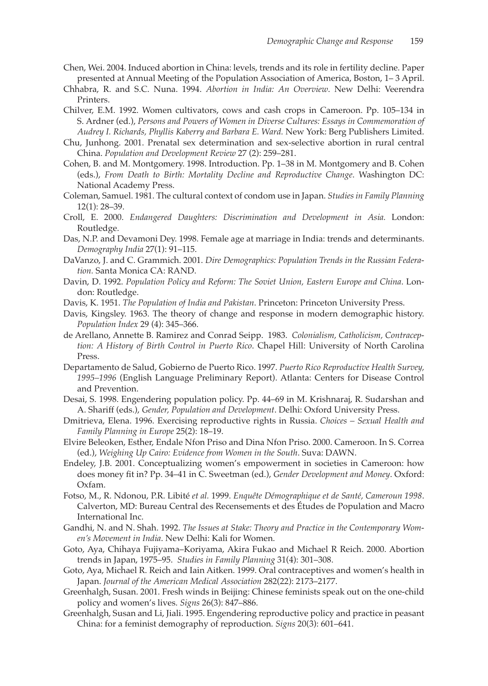- Chen, Wei. 2004. Induced abortion in China: levels, trends and its role in fertility decline. Paper presented at Annual Meeting of the Population Association of America, Boston, 1– 3 April.
- Chhabra, R. and S.C. Nuna. 1994. *Abortion in India: An Overview*. New Delhi: Veerendra Printers.
- Chilver, E.M. 1992. Women cultivators, cows and cash crops in Cameroon. Pp. 105–134 in S. Ardner (ed.), *Persons and Powers of Women in Diverse Cultures: Essays in Commemoration of Audrey I. Richards, Phyllis Kaberry and Barbara E. Ward.* New York: Berg Publishers Limited.
- Chu, Junhong. 2001. Prenatal sex determination and sex-selective abortion in rural central China. *Population and Development Review* 27 (2): 259–281.
- Cohen, B. and M. Montgomery. 1998. Introduction. Pp. 1–38 in M. Montgomery and B. Cohen (eds.), *From Death to Birth: Mortality Decline and Reproductive Change*. Washington DC: National Academy Press.
- Coleman, Samuel. 1981. The cultural context of condom use in Japan. *Studies in Family Planning* 12(1): 28–39.
- Croll, E. 2000. *Endangered Daughters: Discrimination and Development in Asia.* London: Routledge.
- Das, N.P. and Devamoni Dey. 1998. Female age at marriage in India: trends and determinants. *Demography India* 27(1): 91–115.
- DaVanzo, J. and C. Grammich. 2001. *Dire Demographics: Population Trends in the Russian Federation.* Santa Monica CA: RAND.
- Davin, D. 1992. *Population Policy and Reform: The Soviet Union, Eastern Europe and China*. London: Routledge.
- Davis, K. 1951. *The Population of India and Pakistan*. Princeton: Princeton University Press.
- Davis, Kingsley. 1963. The theory of change and response in modern demographic history. *Population Index* 29 (4): 345–366.
- de Arellano, Annette B. Ramirez and Conrad Seipp. 1983. *Colonialism, Catholicism, Contraception: A History of Birth Control in Puerto Rico*. Chapel Hill: University of North Carolina Press.
- Departamento de Salud, Gobierno de Puerto Rico. 1997. *Puerto Rico Reproductive Health Survey, 1995–1996* (English Language Preliminary Report). Atlanta: Centers for Disease Control and Prevention.
- Desai, S. 1998. Engendering population policy. Pp. 44–69 in M. Krishnaraj, R. Sudarshan and A. Shariff (eds.), *Gender, Population and Development*. Delhi: Oxford University Press.
- Dmitrieva, Elena. 1996. Exercising reproductive rights in Russia. *Choices Sexual Health and Family Planning in Europe* 25(2): 18–19.
- Elvire Beleoken, Esther, Endale Nfon Priso and Dina Nfon Priso. 2000. Cameroon. In S. Correa (ed.), *Weighing Up Cairo: Evidence from Women in the South*. Suva: DAWN.
- Endeley, J.B. 2001. Conceptualizing women's empowerment in societies in Cameroon: how does money fit in? Pp. 34–41 in C. Sweetman (ed.), *Gender Development and Money*. Oxford: Oxfam.
- Fotso, M., R. Ndonou, P.R. Libité *et al.* 1999. *Enquête Démographique et de Santé, Cameroun 1998*. Calverton, MD: Bureau Central des Recensements et des Études de Population and Macro International Inc.
- Gandhi, N. and N. Shah. 1992. *The Issues at Stake: Theory and Practice in the Contemporary Women's Movement in India*. New Delhi: Kali for Women.
- Goto, Aya, Chihaya Fujiyama–Koriyama, Akira Fukao and Michael R Reich. 2000. Abortion trends in Japan, 1975–95. *Studies in Family Planning* 31(4): 301–308.
- Goto, Aya, Michael R. Reich and Iain Aitken. 1999. Oral contraceptives and women's health in Japan. *Journal of the American Medical Association* 282(22): 2173–2177.
- Greenhalgh, Susan. 2001. Fresh winds in Beijing: Chinese feminists speak out on the one-child policy and women's lives. *Signs* 26(3): 847–886.
- Greenhalgh, Susan and Li, Jiali. 1995. Engendering reproductive policy and practice in peasant China: for a feminist demography of reproduction. *Signs* 20(3): 601–641.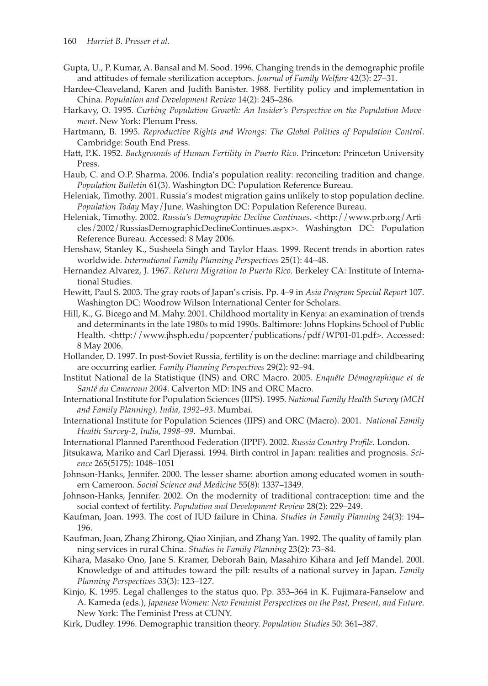- Gupta, U., P. Kumar, A. Bansal and M. Sood. 1996. Changing trends in the demographic profile and attitudes of female sterilization acceptors. *Journal of Family Welfare* 42(3): 27–31.
- Hardee-Cleaveland, Karen and Judith Banister. 1988. Fertility policy and implementation in China. *Population and Development Review* 14(2): 245–286.
- Harkavy, O. 1995. *Curbing Population Growth: An Insider's Perspective on the Population Movement*. New York: Plenum Press.
- Hartmann, B. 1995. *Reproductive Rights and Wrongs: The Global Politics of Population Control*. Cambridge: South End Press.
- Hatt, P.K. 1952. *Backgrounds of Human Fertility in Puerto Rico.* Princeton: Princeton University Press.
- Haub, C. and O.P. Sharma. 2006. India's population reality: reconciling tradition and change. *Population Bulletin* 61(3). Washington DC: Population Reference Bureau.
- Heleniak, Timothy. 2001. Russia's modest migration gains unlikely to stop population decline. *Population Today* May/June. Washington DC: Population Reference Bureau.
- Heleniak, Timothy. 2002. *Russia's Demographic Decline Continues*. <http://www.prb.org/Articles/2002/RussiasDemographicDeclineContinues.aspx>. Washington DC: Population Reference Bureau. Accessed: 8 May 2006.
- Henshaw, Stanley K., Susheela Singh and Taylor Haas. 1999. Recent trends in abortion rates worldwide. *International Family Planning Perspectives* 25(1): 44–48.
- Hernandez Alvarez, J. 1967. *Return Migration to Puerto Rico.* Berkeley CA: Institute of International Studies.
- Hewitt, Paul S. 2003. The gray roots of Japan's crisis. Pp. 4–9 in *Asia Program Special Report* 107. Washington DC: Woodrow Wilson International Center for Scholars.
- Hill, K., G. Bicego and M. Mahy. 2001. Childhood mortality in Kenya: an examination of trends and determinants in the late 1980s to mid 1990s. Baltimore: Johns Hopkins School of Public Health. <http://www.jhsph.edu/popcenter/publications/pdf/WP01-01.pdf>. Accessed: 8 May 2006.
- Hollander, D. 1997. In post-Soviet Russia, fertility is on the decline: marriage and childbearing are occurring earlier. *Family Planning Perspectives* 29(2): 92–94.
- Institut National de la Statistique (INS) and ORC Macro. 2005. *Enquête Démographique et de Santé du Cameroun 2004*. Calverton MD: INS and ORC Macro.
- International Institute for Population Sciences (IIPS). 1995. *National Family Health Survey (MCH and Family Planning), India, 1992–93*. Mumbai.
- International Institute for Population Sciences (IIPS) and ORC (Macro). 2001. *National Family Health Survey-2, India, 1998–99*. Mumbai.
- International Planned Parenthood Federation (IPPF). 2002. *Russia Country Profile*. London.
- Jitsukawa, Mariko and Carl Djerassi. 1994. Birth control in Japan: realities and prognosis. *Science* 265(5175): 1048–1051
- Johnson-Hanks, Jennifer. 2000. The lesser shame: abortion among educated women in southern Cameroon. *Social Science and Medicine* 55(8): 1337–1349.
- Johnson-Hanks, Jennifer. 2002. On the modernity of traditional contraception: time and the social context of fertility. *Population and Development Review* 28(2): 229–249.
- Kaufman, Joan. 1993. The cost of IUD failure in China. *Studies in Family Planning* 24(3): 194– 196.
- Kaufman, Joan, Zhang Zhirong, Qiao Xinjian, and Zhang Yan. 1992. The quality of family planning services in rural China. *Studies in Family Planning* 23(2): 73–84.
- Kihara, Masako Ono, Jane S. Kramer, Deborah Bain, Masahiro Kihara and Jeff Mandel. 200l. Knowledge of and attitudes toward the pill: results of a national survey in Japan. *Family Planning Perspectives* 33(3): 123–127.
- Kinjo, K. 1995. Legal challenges to the status quo. Pp. 353–364 in K. Fujimara-Fanselow and A. Kameda (eds.), *Japanese Women: New Feminist Perspectives on the Past, Present, and Future*. New York: The Feminist Press at CUNY.
- Kirk, Dudley. 1996. Demographic transition theory. *Population Studies* 50: 361–387.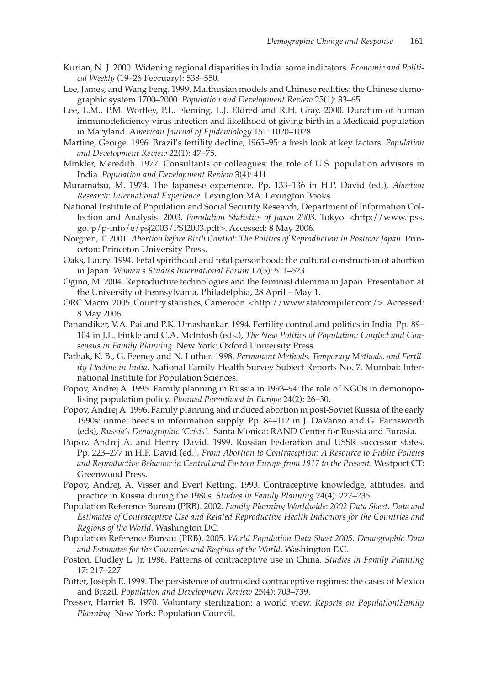- Kurian, N. J. 2000. Widening regional disparities in India: some indicators. *Economic and Political Weekly* (19–26 February): 538–550.
- Lee, James, and Wang Feng. 1999. Malthusian models and Chinese realities: the Chinese demographic system 1700–2000. *Population and Development Review* 25(1): 33–65.
- Lee, L.M., P.M. Wortley, P.L. Fleming, L.J. Eldred and R.H. Gray. 2000. Duration of human immunodeficiency virus infection and likelihood of giving birth in a Medicaid population in Maryland. A*merican Journal of Epidemiology* 151: 1020–1028.
- Martine, George. 1996. Brazil's fertility decline, 1965–95: a fresh look at key factors. *Population and Development Review* 22(1): 47–75.
- Minkler, Meredith. 1977. Consultants or colleagues: the role of U.S. population advisors in India. *Population and Development Review* 3(4): 411.
- Muramatsu, M. 1974. The Japanese experience. Pp. 133–136 in H.P. David (ed.), *Abortion Research: International Experience*. Lexington MA: Lexington Books.
- National Institute of Population and Social Security Research, Department of Information Collection and Analysis. 2003. *Population Statistics of Japan 2003*. Tokyo. <http://www.ipss. go.jp/p-info/e/psj2003/PSJ2003.pdf>. Accessed: 8 May 2006.
- Norgren, T. 2001. *Abortion before Birth Control: The Politics of Reproduction in Postwar Japan.* Princeton: Princeton University Press.
- Oaks, Laury. 1994. Fetal spirithood and fetal personhood: the cultural construction of abortion in Japan. *Women's Studies International Forum* 17(5): 511–523.
- Ogino, M. 2004. Reproductive technologies and the feminist dilemma in Japan. Presentation at the University of Pennsylvania, Philadelphia, 28 April – May 1.
- ORC Macro. 2005. Country statistics, Cameroon. <http://www.statcompiler.com/>. Accessed: 8 May 2006.
- Panandiker, V.A. Pai and P.K. Umashankar. 1994. Fertility control and politics in India. Pp. 89– 104 in J.L. Finkle and C.A. McIntosh (eds.), *The New Politics of Population: Conflict and Consensus in Family Planning*. New York: Oxford University Press.
- Pathak, K. B., G. Feeney and N. Luther. 1998. *Permanent Methods, Temporary* M*ethods, and Fertility Decline in India.* National Family Health Survey Subject Reports No. 7. Mumbai: International Institute for Population Sciences.
- Popov, Andrej A. 1995. Family planning in Russia in 1993–94: the role of NGOs in demonopolising population policy. *Planned Parenthood in Europe* 24(2): 26–30.
- Popov, Andrej A. 1996. Family planning and induced abortion in post-Soviet Russia of the early 1990s: unmet needs in information supply. Pp. 84–112 in J. DaVanzo and G. Farnsworth (eds), *Russia's Demographic 'Crisis'.* Santa Monica: RAND Center for Russia and Eurasia.
- Popov, Andrej A. and Henry David. 1999. Russian Federation and USSR successor states. Pp. 223–277 in H.P. David (ed.), *From Abortion to Contraception: A Resource to Public Policies and Reproductive Behavior in Central and Eastern Europe from 1917 to the Present*. Westport CT: Greenwood Press.
- Popov, Andrej, A. Visser and Evert Ketting. 1993. Contraceptive knowledge, attitudes, and practice in Russia during the 1980s. *Studies in Family Planning* 24(4): 227–235.
- Population Reference Bureau (PRB). 2002. *Family Planning Worldwide*: *2002 Data Sheet*. *Data and Estimates of Contraceptive Use and Related Reproductive Health Indicators for the Countries and Regions of the World*. Washington DC.
- Population Reference Bureau (PRB). 2005. *World Population Data Sheet 2005*. *Demographic Data and Estimates for the Countries and Regions of the World*. Washington DC.
- Poston, Dudley L. Jr. 1986. Patterns of contraceptive use in China. *Studies in Family Planning*  17: 217–227.
- Potter, Joseph E. 1999. The persistence of outmoded contraceptive regimes: the cases of Mexico and Brazil. *Population and Development Review* 25(4): 703–739.
- Presser, Harriet B. 1970. Voluntary sterilization: a world view. *Reports on Population/Family Planning.* New York: Population Council.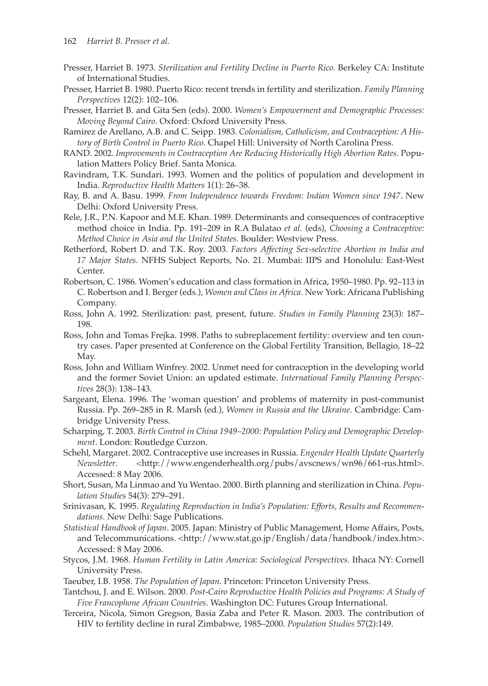- Presser, Harriet B. 1973. *Sterilization and Fertility Decline in Puerto Rico.* Berkeley CA: Institute of International Studies.
- Presser, Harriet B. 1980. Puerto Rico: recent trends in fertility and sterilization. *Family Planning Perspectives* 12(2): 102–106.
- Presser, Harriet B. and Gita Sen (eds). 2000. *Women's Empowerment and Demographic Processes: Moving Beyond Cairo*. Oxford: Oxford University Press.
- Ramirez de Arellano, A.B. and C. Seipp. 1983. *Colonialism, Catholicism, and Contraception: A History of Birth Control in Puerto Rico*. Chapel Hill: University of North Carolina Press.
- RAND. 2002. *Improvements in Contraception Are Reducing Historically High Abortion Rates*. Population Matters Policy Brief. Santa Monica.
- Ravindram, T.K. Sundari. 1993. Women and the politics of population and development in India. *Reproductive Health Matters* 1(1): 26–38.
- Ray, B. and A. Basu. 1999. *From Independence towards Freedom: Indian Women since 1947*. New Delhi: Oxford University Press.
- Rele, J.R., P.N. Kapoor and M.E. Khan. 1989. Determinants and consequences of contraceptive method choice in India. Pp. 191–209 in R.A Bulatao *et al.* (eds), *Choosing a Contraceptive: Method Choice in Asia and the United States.* Boulder: Westview Press.
- Retherford, Robert D. and T.K. Roy. 2003. *Factors Affecting Sex-selective Abortion in India and 17 Major States.* NFHS Subject Reports, No. 21. Mumbai: IIPS and Honolulu: East-West Center.
- Robertson, C. 1986. Women's education and class formation in Africa, 1950–1980. Pp. 92–113 in C. Robertson and I. Berger (eds.), *Women and Class in Africa*. New York: Africana Publishing Company.
- Ross, John A. 1992. Sterilization: past, present, future. *Studies in Family Planning* 23(3): 187– 198.
- Ross, John and Tomas Frejka. 1998. Paths to subreplacement fertility: overview and ten country cases. Paper presented at Conference on the Global Fertility Transition, Bellagio, 18–22 May.
- Ross, John and William Winfrey. 2002. Unmet need for contraception in the developing world and the former Soviet Union: an updated estimate. *International Family Planning Perspectives* 28(3): 138–143.
- Sargeant, Elena. 1996. The 'woman question' and problems of maternity in post-communist Russia. Pp. 269–285 in R. Marsh (ed.), *Women in Russia and the Ukraine*. Cambridge: Cambridge University Press.
- Scharping, T. 2003. *Birth Control in China 1949–2000: Population Policy and Demographic Development*. London: Routledge Curzon.
- Schehl, Margaret. 2002. Contraceptive use increases in Russia*. Engender Health Update Quarterly Newsletter*. <http://www.engenderhealth.org/pubs/avscnews/wn96/661-rus.html>. Accessed: 8 May 2006.
- Short, Susan, Ma Linmao and Yu Wentao. 2000. Birth planning and sterilization in China. *Population Studies* 54(3): 279–291.
- Srinivasan, K. 1995. *Regulating Reproduction in India's Population: Efforts, Results and Recommendations.* New Delhi: Sage Publications.
- *Statistical Handbook of Japan*. 2005. Japan: Ministry of Public Management, Home Affairs, Posts, and Telecommunications. <http://www.stat.go.jp/English/data/handbook/index.htm>. Accessed: 8 May 2006.
- Stycos, J.M. 1968. *Human Fertility in Latin America: Sociological Perspectives*. Ithaca NY: Cornell University Press.
- Taeuber, I.B. 1958. *The Population of Japan*. Princeton: Princeton University Press.
- Tantchou, J. and E. Wilson. 2000. *Post-Cairo Reproductive Health Policies and Programs: A Study of Five Francophone African Countries*. Washington DC: Futures Group International.
- Terceira, Nicola, Simon Gregson, Basia Zaba and Peter R. Mason. 2003. The contribution of HIV to fertility decline in rural Zimbabwe, 1985–2000. *Population Studies* 57(2):149.